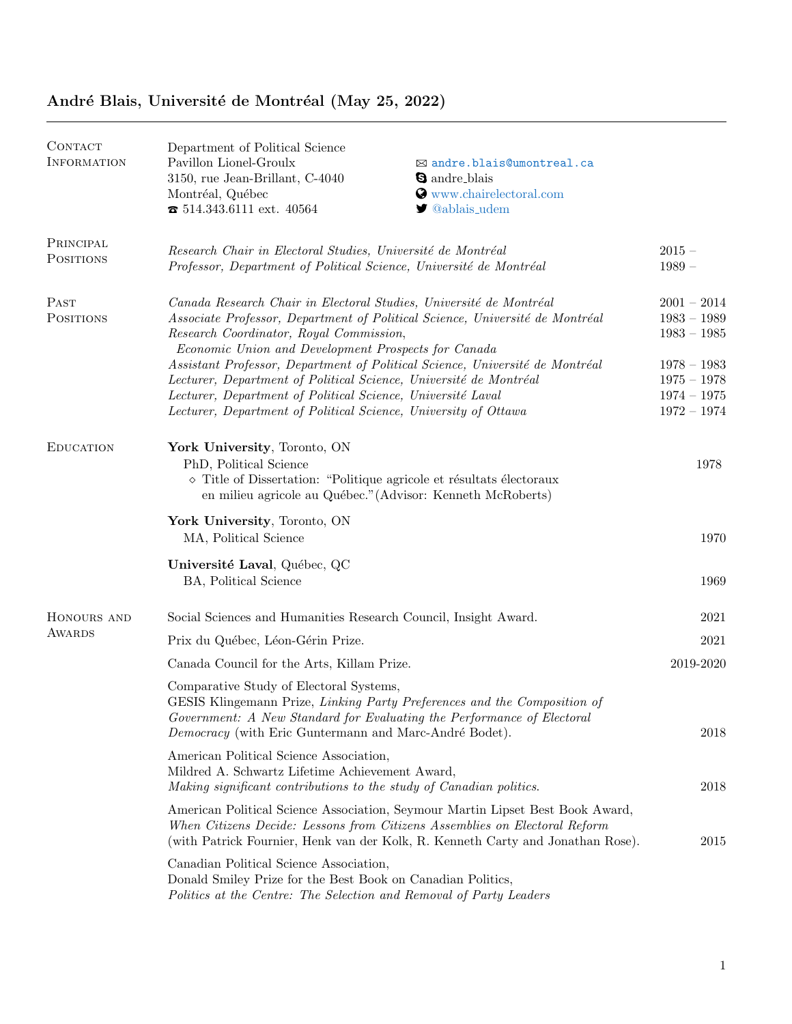| CONTACT<br><b>INFORMATION</b> | Department of Political Science<br>Pavillon Lionel-Groulx<br>3150, rue Jean-Brillant, C-4040<br>Montréal, Québec<br>$\textbf{B}$ 514.343.6111 ext. 40564                                                                                                                                                                                                                    | ⊠ andre.blais@umontreal.ca<br><b>Q</b> andre blais<br>Www.chairelectoral.com<br>$\blacktriangleright$ @ablais_udem                                           |                                                                                                                   |
|-------------------------------|-----------------------------------------------------------------------------------------------------------------------------------------------------------------------------------------------------------------------------------------------------------------------------------------------------------------------------------------------------------------------------|--------------------------------------------------------------------------------------------------------------------------------------------------------------|-------------------------------------------------------------------------------------------------------------------|
| PRINCIPAL<br>POSITIONS        | Research Chair in Electoral Studies, Université de Montréal<br>Professor, Department of Political Science, Université de Montréal                                                                                                                                                                                                                                           |                                                                                                                                                              | $2015 -$<br>$1989-$                                                                                               |
| PAST<br><b>POSITIONS</b>      | Canada Research Chair in Electoral Studies, Université de Montréal<br>Research Coordinator, Royal Commission,<br>Economic Union and Development Prospects for Canada<br>Lecturer, Department of Political Science, Université de Montréal<br>Lecturer, Department of Political Science, Université Laval<br>Lecturer, Department of Political Science, University of Ottawa | Associate Professor, Department of Political Science, Université de Montréal<br>Assistant Professor, Department of Political Science, Université de Montréal | $2001 - 2014$<br>1983 - 1989<br>$1983 - 1985$<br>$1978 - 1983$<br>$1975 - 1978$<br>$1974 - 1975$<br>$1972 - 1974$ |
| <b>EDUCATION</b>              | York University, Toronto, ON<br>PhD, Political Science<br>$\diamond$ Title of Dissertation: "Politique agricole et résultats électoraux<br>en milieu agricole au Québec." (Advisor: Kenneth McRoberts)                                                                                                                                                                      |                                                                                                                                                              | 1978                                                                                                              |
|                               | York University, Toronto, ON<br>MA, Political Science                                                                                                                                                                                                                                                                                                                       |                                                                                                                                                              | 1970                                                                                                              |
|                               | Université Laval, Québec, QC<br>BA, Political Science                                                                                                                                                                                                                                                                                                                       |                                                                                                                                                              | 1969                                                                                                              |
| HONOURS AND                   | Social Sciences and Humanities Research Council, Insight Award.                                                                                                                                                                                                                                                                                                             |                                                                                                                                                              | $2021\,$                                                                                                          |
| <b>AWARDS</b>                 | Prix du Québec, Léon-Gérin Prize.                                                                                                                                                                                                                                                                                                                                           |                                                                                                                                                              | 2021                                                                                                              |
|                               | Canada Council for the Arts, Killam Prize.                                                                                                                                                                                                                                                                                                                                  |                                                                                                                                                              | 2019-2020                                                                                                         |
|                               | Comparative Study of Electoral Systems,<br>GESIS Klingemann Prize, Linking Party Preferences and the Composition of<br>Government: A New Standard for Evaluating the Performance of Electoral<br><i>Democracy</i> (with Eric Guntermann and Marc-André Bodet).                                                                                                              |                                                                                                                                                              | 2018                                                                                                              |
|                               | American Political Science Association,<br>Mildred A. Schwartz Lifetime Achievement Award,<br>Making significant contributions to the study of Canadian politics.                                                                                                                                                                                                           |                                                                                                                                                              | 2018                                                                                                              |
|                               | American Political Science Association, Seymour Martin Lipset Best Book Award,<br>When Citizens Decide: Lessons from Citizens Assemblies on Electoral Reform<br>(with Patrick Fournier, Henk van der Kolk, R. Kenneth Carty and Jonathan Rose).                                                                                                                             |                                                                                                                                                              | 2015                                                                                                              |
|                               | Canadian Political Science Association,<br>Donald Smiley Prize for the Best Book on Canadian Politics,<br>Politics at the Centre: The Selection and Removal of Party Leaders                                                                                                                                                                                                |                                                                                                                                                              |                                                                                                                   |

## André Blais, Université de Montréal (May 25, 2022)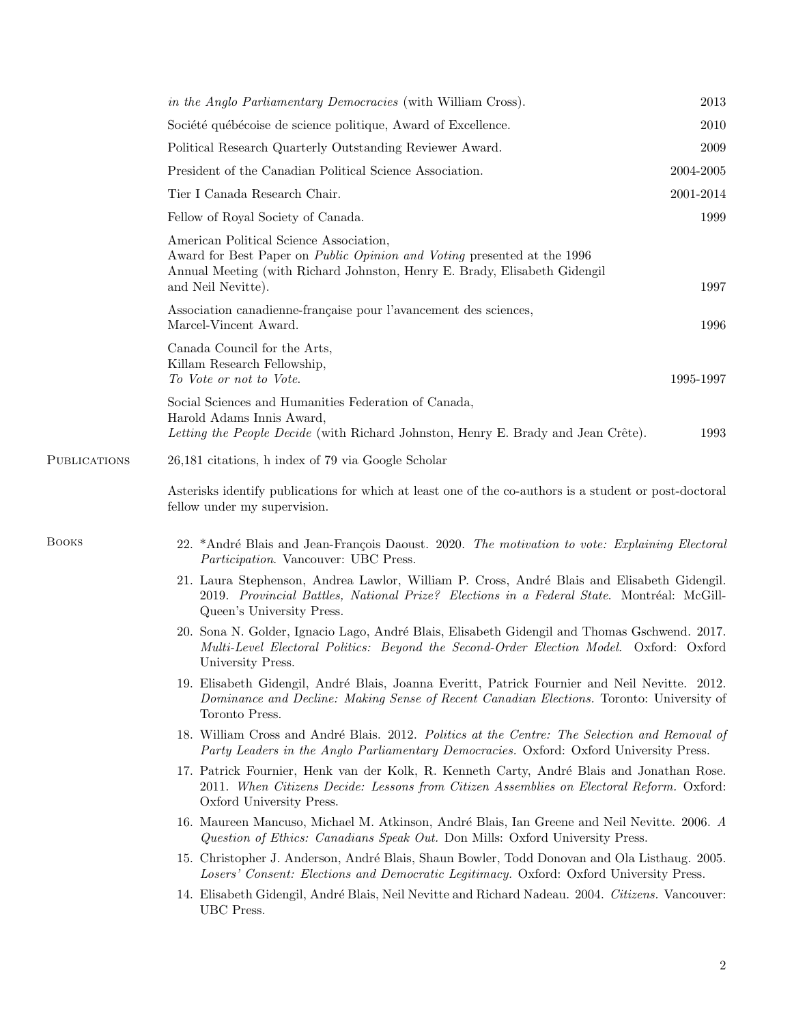|              | in the Anglo Parliamentary Democracies (with William Cross).                                                                                                                                                          | 2013      |
|--------------|-----------------------------------------------------------------------------------------------------------------------------------------------------------------------------------------------------------------------|-----------|
|              | Société québécoise de science politique, Award of Excellence.                                                                                                                                                         | 2010      |
|              | Political Research Quarterly Outstanding Reviewer Award.                                                                                                                                                              | 2009      |
|              | President of the Canadian Political Science Association.                                                                                                                                                              | 2004-2005 |
|              | Tier I Canada Research Chair.                                                                                                                                                                                         | 2001-2014 |
|              | Fellow of Royal Society of Canada.                                                                                                                                                                                    | 1999      |
|              | American Political Science Association,<br>Award for Best Paper on Public Opinion and Voting presented at the 1996<br>Annual Meeting (with Richard Johnston, Henry E. Brady, Elisabeth Gidengil<br>and Neil Nevitte). | 1997      |
|              | Association canadienne-française pour l'avancement des sciences,<br>Marcel-Vincent Award.                                                                                                                             | 1996      |
|              | Canada Council for the Arts,<br>Killam Research Fellowship,<br>To Vote or not to Vote.                                                                                                                                | 1995-1997 |
|              | Social Sciences and Humanities Federation of Canada,<br>Harold Adams Innis Award,                                                                                                                                     |           |
| PUBLICATIONS | Letting the People Decide (with Richard Johnston, Henry E. Brady and Jean Crête).<br>26,181 citations, h index of 79 via Google Scholar                                                                               | 1993      |
|              | Asterisks identify publications for which at least one of the co-authors is a student or post-doctoral<br>fellow under my supervision.                                                                                |           |
| Воокѕ        | 22. *André Blais and Jean-François Daoust. 2020. The motivation to vote: Explaining Electoral<br><i>Participation.</i> Vancouver: UBC Press.                                                                          |           |
|              | 21. Laura Stephenson, Andrea Lawlor, William P. Cross, André Blais and Elisabeth Gidengil.<br>2019. Provincial Battles, National Prize? Elections in a Federal State. Montréal: McGill-<br>Queen's University Press.  |           |
|              | 20. Sona N. Golder, Ignacio Lago, André Blais, Elisabeth Gidengil and Thomas Gschwend. 2017.<br>Multi-Level Electoral Politics: Beyond the Second-Order Election Model. Oxford: Oxford<br>University Press.           |           |
|              | 19. Elisabeth Gidengil, André Blais, Joanna Everitt, Patrick Fournier and Neil Nevitte. 2012.<br>Dominance and Decline: Making Sense of Recent Canadian Elections. Toronto: University of<br>Toronto Press.           |           |
|              | 18. William Cross and André Blais. 2012. Politics at the Centre: The Selection and Removal of<br>Party Leaders in the Anglo Parliamentary Democracies. Oxford: Oxford University Press.                               |           |
|              | 17. Patrick Fournier, Henk van der Kolk, R. Kenneth Carty, André Blais and Jonathan Rose.<br>2011. When Citizens Decide: Lessons from Citizen Assemblies on Electoral Reform. Oxford:<br>Oxford University Press.     |           |
|              | 16. Maureen Mancuso, Michael M. Atkinson, André Blais, Ian Greene and Neil Nevitte. 2006. A<br>Question of Ethics: Canadians Speak Out. Don Mills: Oxford University Press.                                           |           |
|              | 15. Christopher J. Anderson, André Blais, Shaun Bowler, Todd Donovan and Ola Listhaug. 2005.<br>Losers' Consent: Elections and Democratic Legitimacy. Oxford: Oxford University Press.                                |           |
|              | 14. Elisabeth Gidengil, André Blais, Neil Nevitte and Richard Nadeau. 2004. Citizens. Vancouver:<br>UBC Press.                                                                                                        |           |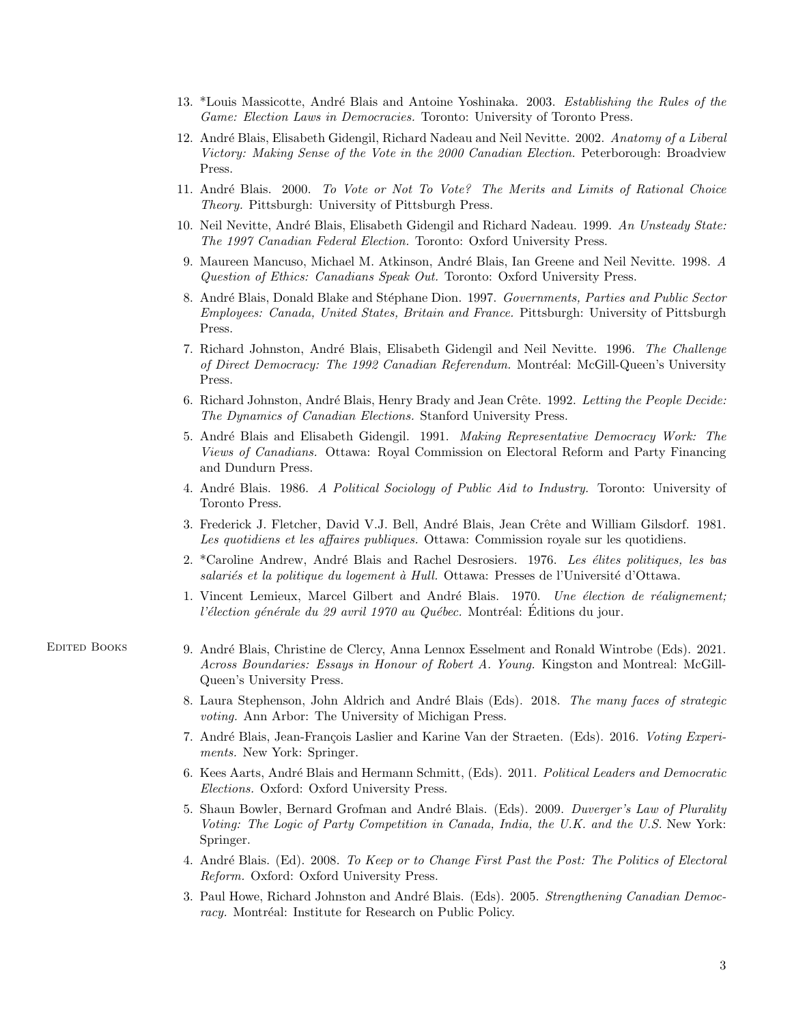- 13. \*Louis Massicotte, André Blais and Antoine Yoshinaka. 2003. Establishing the Rules of the Game: Election Laws in Democracies. Toronto: University of Toronto Press.
- 12. André Blais, Elisabeth Gidengil, Richard Nadeau and Neil Nevitte. 2002. Anatomy of a Liberal Victory: Making Sense of the Vote in the 2000 Canadian Election. Peterborough: Broadview Press.
- 11. André Blais. 2000. To Vote or Not To Vote? The Merits and Limits of Rational Choice Theory. Pittsburgh: University of Pittsburgh Press.
- 10. Neil Nevitte, André Blais, Elisabeth Gidengil and Richard Nadeau. 1999. An Unsteady State: The 1997 Canadian Federal Election. Toronto: Oxford University Press.
- 9. Maureen Mancuso, Michael M. Atkinson, André Blais, Ian Greene and Neil Nevitte. 1998. A Question of Ethics: Canadians Speak Out. Toronto: Oxford University Press.
- 8. André Blais, Donald Blake and Stéphane Dion. 1997. Governments, Parties and Public Sector Employees: Canada, United States, Britain and France. Pittsburgh: University of Pittsburgh Press.
- 7. Richard Johnston, André Blais, Elisabeth Gidengil and Neil Nevitte. 1996. The Challenge of Direct Democracy: The 1992 Canadian Referendum. Montréal: McGill-Queen's University Press.
- 6. Richard Johnston, André Blais, Henry Brady and Jean Crête. 1992. Letting the People Decide: The Dynamics of Canadian Elections. Stanford University Press.
- 5. André Blais and Elisabeth Gidengil. 1991. Making Representative Democracy Work: The Views of Canadians. Ottawa: Royal Commission on Electoral Reform and Party Financing and Dundurn Press.
- 4. André Blais. 1986. A Political Sociology of Public Aid to Industry. Toronto: University of Toronto Press.
- 3. Frederick J. Fletcher, David V.J. Bell, André Blais, Jean Crête and William Gilsdorf. 1981. Les quotidiens et les affaires publiques. Ottawa: Commission royale sur les quotidiens.
- 2. \*Caroline Andrew, André Blais and Rachel Desrosiers. 1976. Les élites politiques, les bas salariés et la politique du logement à Hull. Ottawa: Presses de l'Université d'Ottawa.
- 1. Vincent Lemieux, Marcel Gilbert and André Blais. 1970. Une élection de réalignement; l'élection générale du 29 avril 1970 au Québec. Montréal: Éditions du jour.
- 
- Edited Books 9. Andr´e Blais, Christine de Clercy, Anna Lennox Esselment and Ronald Wintrobe (Eds). 2021. Across Boundaries: Essays in Honour of Robert A. Young. Kingston and Montreal: McGill-Queen's University Press.
	- 8. Laura Stephenson, John Aldrich and André Blais (Eds). 2018. The many faces of strategic voting. Ann Arbor: The University of Michigan Press.
	- 7. André Blais, Jean-François Laslier and Karine Van der Straeten. (Eds). 2016. Voting Experiments. New York: Springer.
	- 6. Kees Aarts, André Blais and Hermann Schmitt, (Eds). 2011. Political Leaders and Democratic Elections. Oxford: Oxford University Press.
	- 5. Shaun Bowler, Bernard Grofman and André Blais. (Eds). 2009. Duverger's Law of Plurality Voting: The Logic of Party Competition in Canada, India, the U.K. and the U.S. New York: Springer.
	- 4. André Blais. (Ed). 2008. To Keep or to Change First Past the Post: The Politics of Electoral Reform. Oxford: Oxford University Press.
	- 3. Paul Howe, Richard Johnston and André Blais. (Eds). 2005. Strengthening Canadian Democracy. Montréal: Institute for Research on Public Policy.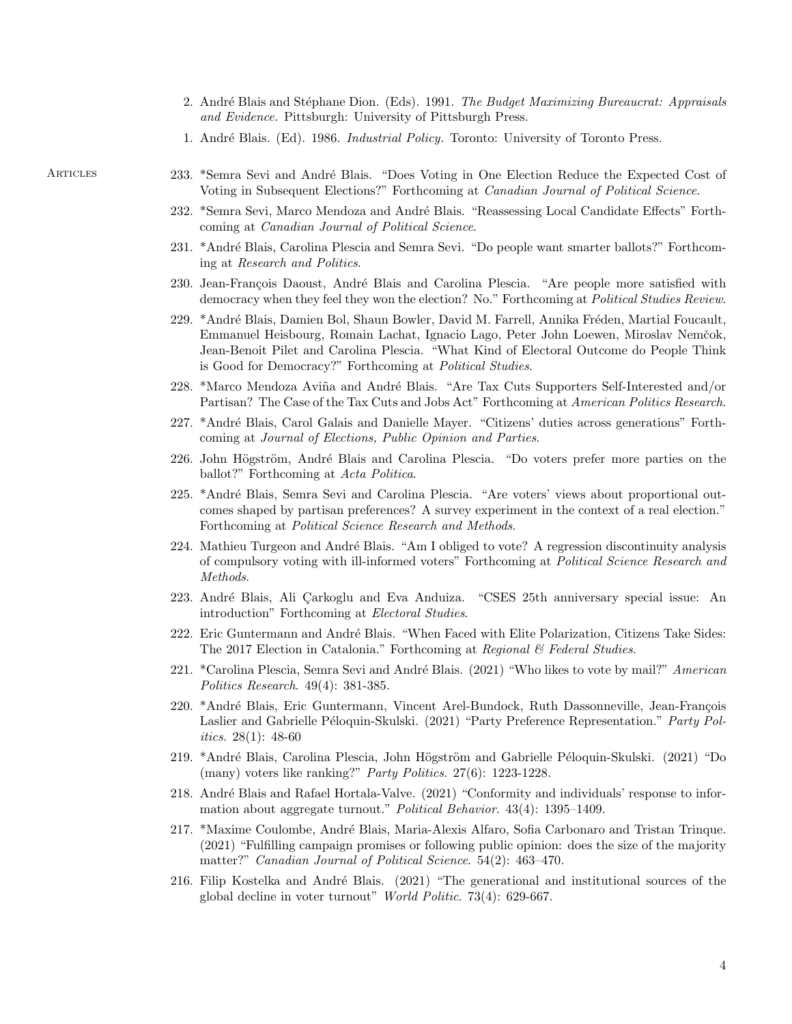- 2. André Blais and Stéphane Dion. (Eds). 1991. The Budget Maximizing Bureaucrat: Appraisals and Evidence. Pittsburgh: University of Pittsburgh Press.
- 1. André Blais. (Ed). 1986. *Industrial Policy*. Toronto: University of Toronto Press.

- ARTICLES 233. \*Semra Sevi and André Blais. "Does Voting in One Election Reduce the Expected Cost of Voting in Subsequent Elections?" Forthcoming at *Canadian Journal of Political Science*.
	- 232. \*Semra Sevi, Marco Mendoza and André Blais. "Reassessing Local Candidate Effects" Forthcoming at Canadian Journal of Political Science.
	- 231. \*Andr´e Blais, Carolina Plescia and Semra Sevi. "Do people want smarter ballots?" Forthcoming at Research and Politics.
	- 230. Jean-François Daoust, André Blais and Carolina Plescia. "Are people more satisfied with democracy when they feel they won the election? No." Forthcoming at *Political Studies Review*.
	- 229. \*André Blais, Damien Bol, Shaun Bowler, David M. Farrell, Annika Fréden, Martial Foucault, Emmanuel Heisbourg, Romain Lachat, Ignacio Lago, Peter John Loewen, Miroslav Nemˇcok, Jean-Benoit Pilet and Carolina Plescia. "What Kind of Electoral Outcome do People Think is Good for Democracy?" Forthcoming at Political Studies.
	- 228. \*Marco Mendoza Aviña and André Blais. "Are Tax Cuts Supporters Self-Interested and/or Partisan? The Case of the Tax Cuts and Jobs Act" Forthcoming at American Politics Research.
	- 227. \*André Blais, Carol Galais and Danielle Mayer. "Citizens' duties across generations" Forthcoming at Journal of Elections, Public Opinion and Parties.
	- 226. John Högström, André Blais and Carolina Plescia. "Do voters prefer more parties on the ballot?" Forthcoming at Acta Politica.
	- 225. \*André Blais, Semra Sevi and Carolina Plescia. "Are voters' views about proportional outcomes shaped by partisan preferences? A survey experiment in the context of a real election." Forthcoming at Political Science Research and Methods.
	- 224. Mathieu Turgeon and André Blais. "Am I obliged to vote? A regression discontinuity analysis of compulsory voting with ill-informed voters" Forthcoming at Political Science Research and Methods.
	- 223. André Blais, Ali Çarkoglu and Eva Anduiza. "CSES 25th anniversary special issue: An introduction" Forthcoming at Electoral Studies.
	- 222. Eric Guntermann and André Blais. "When Faced with Elite Polarization, Citizens Take Sides: The 2017 Election in Catalonia." Forthcoming at Regional & Federal Studies.
	- 221. \*Carolina Plescia, Semra Sevi and André Blais. (2021) "Who likes to vote by mail?" American Politics Research. 49(4): 381-385.
	- 220. \*André Blais, Eric Guntermann, Vincent Arel-Bundock, Ruth Dassonneville, Jean-François Laslier and Gabrielle Péloquin-Skulski. (2021) "Party Preference Representation." Party Politics. 28(1): 48-60
	- 219. \*André Blais, Carolina Plescia, John Högström and Gabrielle Péloquin-Skulski. (2021) "Do (many) voters like ranking?" *Party Politics.* 27(6): 1223-1228.
	- 218. André Blais and Rafael Hortala-Valve. (2021) "Conformity and individuals' response to information about aggregate turnout." Political Behavior. 43(4): 1395–1409.
	- 217. \*Maxime Coulombe, Andr´e Blais, Maria-Alexis Alfaro, Sofia Carbonaro and Tristan Trinque. (2021) "Fulfilling campaign promises or following public opinion: does the size of the majority matter?" Canadian Journal of Political Science. 54(2): 463–470.
	- 216. Filip Kostelka and André Blais. (2021) "The generational and institutional sources of the global decline in voter turnout" World Politic. 73(4): 629-667.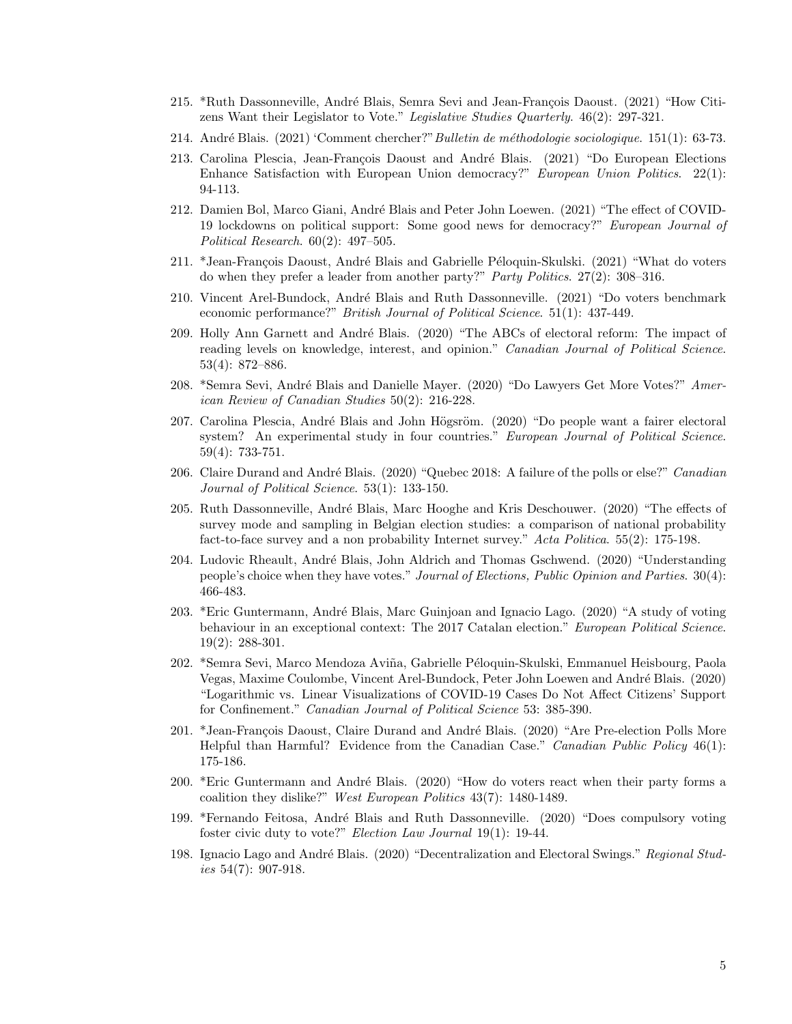- 215. \*Ruth Dassonneville, André Blais, Semra Sevi and Jean-François Daoust. (2021) "How Citizens Want their Legislator to Vote." Legislative Studies Quarterly. 46(2): 297-321.
- 214. André Blais. (2021) 'Comment chercher?" Bulletin de méthodologie sociologique. 151(1): 63-73.
- 213. Carolina Plescia, Jean-François Daoust and André Blais. (2021) "Do European Elections Enhance Satisfaction with European Union democracy?" European Union Politics. 22(1): 94-113.
- 212. Damien Bol, Marco Giani, André Blais and Peter John Loewen. (2021) "The effect of COVID-19 lockdowns on political support: Some good news for democracy?" European Journal of Political Research. 60(2): 497–505.
- 211. \*Jean-François Daoust, André Blais and Gabrielle Péloquin-Skulski. (2021) "What do voters do when they prefer a leader from another party?" Party Politics. 27(2): 308–316.
- 210. Vincent Arel-Bundock, André Blais and Ruth Dassonneville. (2021) "Do voters benchmark economic performance?" British Journal of Political Science. 51(1): 437-449.
- 209. Holly Ann Garnett and André Blais. (2020) "The ABCs of electoral reform: The impact of reading levels on knowledge, interest, and opinion." Canadian Journal of Political Science. 53(4): 872–886.
- 208. \*Semra Sevi, André Blais and Danielle Mayer. (2020) "Do Lawyers Get More Votes?" American Review of Canadian Studies 50(2): 216-228.
- 207. Carolina Plescia, André Blais and John Högsröm. (2020) "Do people want a fairer electoral system? An experimental study in four countries." European Journal of Political Science. 59(4): 733-751.
- 206. Claire Durand and André Blais. (2020) "Quebec 2018: A failure of the polls or else?" Canadian Journal of Political Science. 53(1): 133-150.
- 205. Ruth Dassonneville, André Blais, Marc Hooghe and Kris Deschouwer. (2020) "The effects of survey mode and sampling in Belgian election studies: a comparison of national probability fact-to-face survey and a non probability Internet survey." Acta Politica. 55(2): 175-198.
- 204. Ludovic Rheault, Andr´e Blais, John Aldrich and Thomas Gschwend. (2020) "Understanding people's choice when they have votes." Journal of Elections, Public Opinion and Parties. 30(4): 466-483.
- 203. \*Eric Guntermann, Andr´e Blais, Marc Guinjoan and Ignacio Lago. (2020) "A study of voting behaviour in an exceptional context: The 2017 Catalan election." European Political Science. 19(2): 288-301.
- 202. \*Semra Sevi, Marco Mendoza Aviña, Gabrielle Péloquin-Skulski, Emmanuel Heisbourg, Paola Vegas, Maxime Coulombe, Vincent Arel-Bundock, Peter John Loewen and André Blais. (2020) "Logarithmic vs. Linear Visualizations of COVID-19 Cases Do Not Affect Citizens' Support for Confinement." Canadian Journal of Political Science 53: 385-390.
- 201. \*Jean-François Daoust, Claire Durand and André Blais. (2020) "Are Pre-election Polls More Helpful than Harmful? Evidence from the Canadian Case." Canadian Public Policy 46(1): 175-186.
- 200. \*Eric Guntermann and André Blais. (2020) "How do voters react when their party forms a coalition they dislike?" West European Politics 43(7): 1480-1489.
- 199. \*Fernando Feitosa, Andr´e Blais and Ruth Dassonneville. (2020) "Does compulsory voting foster civic duty to vote?" Election Law Journal 19(1): 19-44.
- 198. Ignacio Lago and André Blais. (2020) "Decentralization and Electoral Swings." Regional Studies  $54(7)$ : 907-918.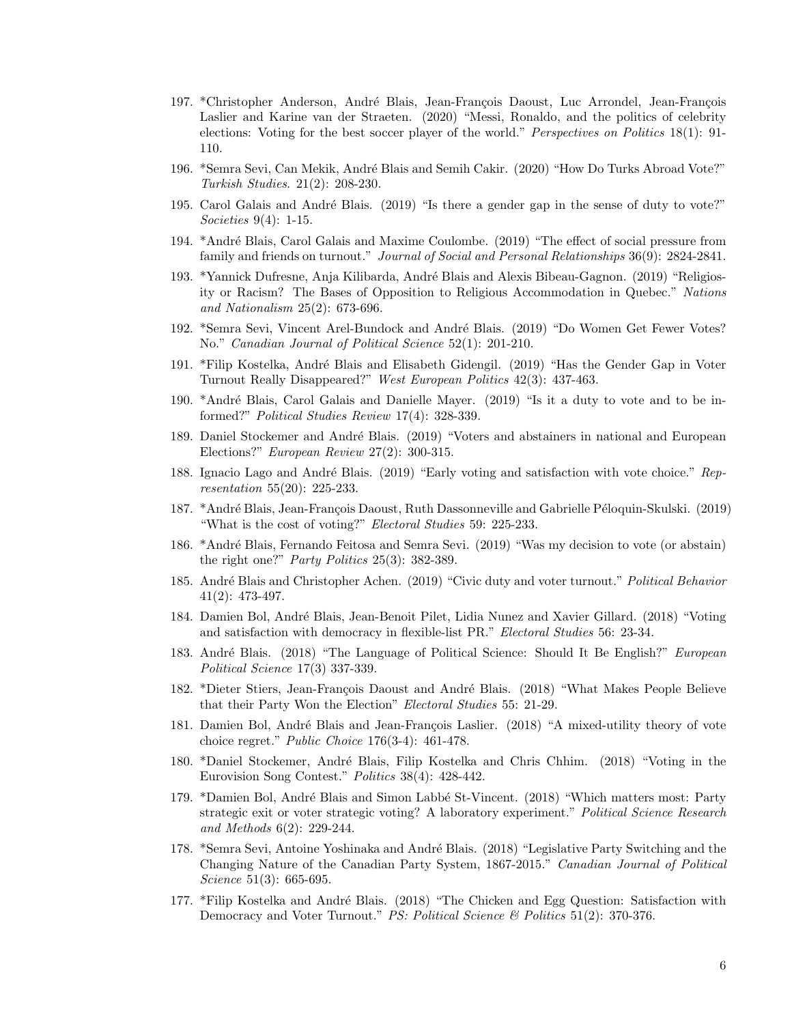- 197. \*Christopher Anderson, André Blais, Jean-François Daoust, Luc Arrondel, Jean-François Laslier and Karine van der Straeten. (2020) "Messi, Ronaldo, and the politics of celebrity elections: Voting for the best soccer player of the world." Perspectives on Politics 18(1): 91- 110.
- 196. \*Semra Sevi, Can Mekik, André Blais and Semih Cakir. (2020) "How Do Turks Abroad Vote?" Turkish Studies. 21(2): 208-230.
- 195. Carol Galais and André Blais. (2019) "Is there a gender gap in the sense of duty to vote?" Societies 9(4): 1-15.
- 194. \*André Blais, Carol Galais and Maxime Coulombe. (2019) "The effect of social pressure from family and friends on turnout." Journal of Social and Personal Relationships 36(9): 2824-2841.
- 193. \*Yannick Dufresne, Anja Kilibarda, André Blais and Alexis Bibeau-Gagnon. (2019) "Religiosity or Racism? The Bases of Opposition to Religious Accommodation in Quebec." Nations and Nationalism 25(2): 673-696.
- 192. \*Semra Sevi, Vincent Arel-Bundock and André Blais. (2019) "Do Women Get Fewer Votes? No." Canadian Journal of Political Science 52(1): 201-210.
- 191. \*Filip Kostelka, André Blais and Elisabeth Gidengil. (2019) "Has the Gender Gap in Voter Turnout Really Disappeared?" West European Politics 42(3): 437-463.
- 190. \*André Blais, Carol Galais and Danielle Mayer. (2019) "Is it a duty to vote and to be informed?" Political Studies Review 17(4): 328-339.
- 189. Daniel Stockemer and André Blais. (2019) "Voters and abstainers in national and European Elections?" European Review 27(2): 300-315.
- 188. Ignacio Lago and André Blais. (2019) "Early voting and satisfaction with vote choice." Representation 55(20): 225-233.
- 187. \*André Blais, Jean-François Daoust, Ruth Dassonneville and Gabrielle Péloquin-Skulski. (2019) "What is the cost of voting?" Electoral Studies 59: 225-233.
- 186. \*André Blais, Fernando Feitosa and Semra Sevi. (2019) "Was my decision to vote (or abstain) the right one?" Party Politics  $25(3)$ : 382-389.
- 185. André Blais and Christopher Achen. (2019) "Civic duty and voter turnout." Political Behavior 41(2): 473-497.
- 184. Damien Bol, André Blais, Jean-Benoit Pilet, Lidia Nunez and Xavier Gillard. (2018) "Voting and satisfaction with democracy in flexible-list PR." Electoral Studies 56: 23-34.
- 183. André Blais. (2018) "The Language of Political Science: Should It Be English?" European Political Science 17(3) 337-339.
- 182. \*Dieter Stiers, Jean-François Daoust and André Blais. (2018) "What Makes People Believe that their Party Won the Election" Electoral Studies 55: 21-29.
- 181. Damien Bol, André Blais and Jean-François Laslier. (2018) "A mixed-utility theory of vote choice regret." Public Choice 176(3-4): 461-478.
- 180. \*Daniel Stockemer, Andr´e Blais, Filip Kostelka and Chris Chhim. (2018) "Voting in the Eurovision Song Contest." Politics 38(4): 428-442.
- 179. \*Damien Bol, André Blais and Simon Labbé St-Vincent. (2018) "Which matters most: Party strategic exit or voter strategic voting? A laboratory experiment." Political Science Research and Methods 6(2): 229-244.
- 178. \*Semra Sevi, Antoine Yoshinaka and André Blais. (2018) "Legislative Party Switching and the Changing Nature of the Canadian Party System, 1867-2015." Canadian Journal of Political Science 51(3): 665-695.
- 177. \*Filip Kostelka and André Blais. (2018) "The Chicken and Egg Question: Satisfaction with Democracy and Voter Turnout." PS: Political Science & Politics 51(2): 370-376.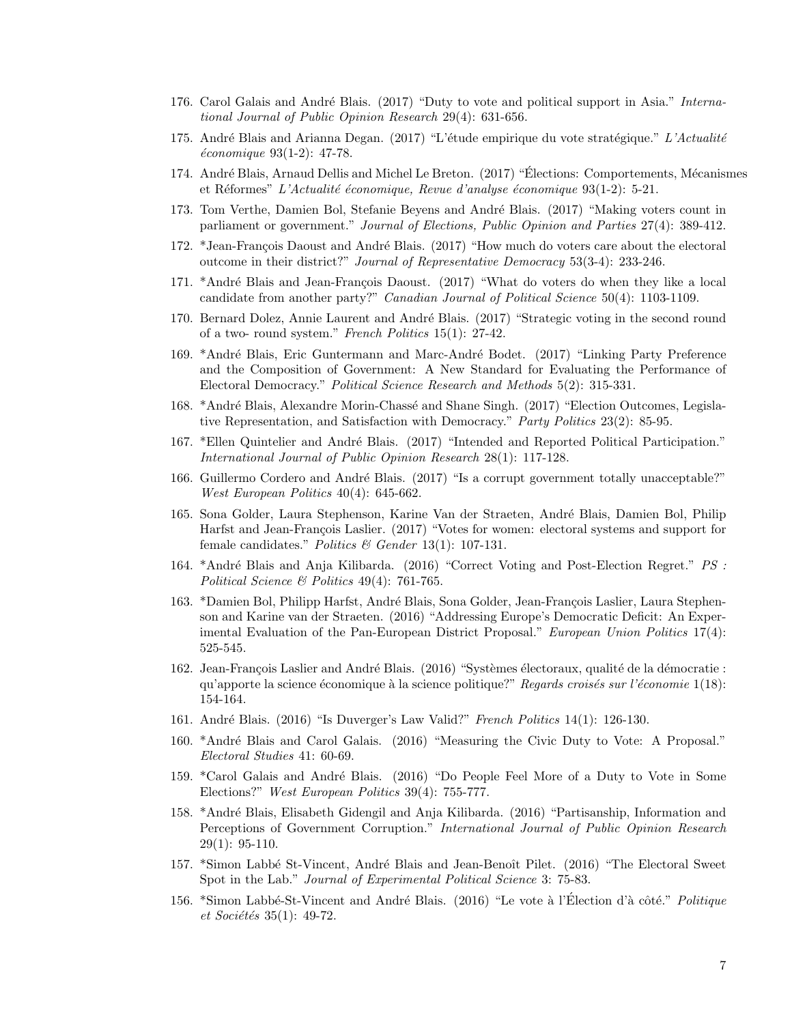- 176. Carol Galais and André Blais. (2017) "Duty to vote and political support in Asia." International Journal of Public Opinion Research 29(4): 631-656.
- 175. André Blais and Arianna Degan. (2017) "L'étude empirique du vote stratégique." L'Actualité  $économique 93(1-2): 47-78.$
- 174. André Blais, Arnaud Dellis and Michel Le Breton. (2017) "Élections: Comportements, Mécanismes et Réformes" L'Actualité économique, Revue d'analyse économique  $93(1-2)$ : 5-21.
- 173. Tom Verthe, Damien Bol, Stefanie Beyens and André Blais. (2017) "Making voters count in parliament or government." Journal of Elections, Public Opinion and Parties 27(4): 389-412.
- 172. \*Jean-François Daoust and André Blais. (2017) "How much do voters care about the electoral outcome in their district?" Journal of Representative Democracy 53(3-4): 233-246.
- 171. \*André Blais and Jean-François Daoust. (2017) "What do voters do when they like a local candidate from another party?" Canadian Journal of Political Science 50(4): 1103-1109.
- 170. Bernard Dolez, Annie Laurent and André Blais. (2017) "Strategic voting in the second round of a two- round system." French Politics 15(1): 27-42.
- 169. \*André Blais, Eric Guntermann and Marc-André Bodet. (2017) "Linking Party Preference and the Composition of Government: A New Standard for Evaluating the Performance of Electoral Democracy." Political Science Research and Methods 5(2): 315-331.
- 168. \*André Blais, Alexandre Morin-Chassé and Shane Singh. (2017) "Election Outcomes, Legislative Representation, and Satisfaction with Democracy." Party Politics 23(2): 85-95.
- 167. \*Ellen Quintelier and André Blais. (2017) "Intended and Reported Political Participation." International Journal of Public Opinion Research 28(1): 117-128.
- 166. Guillermo Cordero and André Blais. (2017) "Is a corrupt government totally unacceptable?" West European Politics 40(4): 645-662.
- 165. Sona Golder, Laura Stephenson, Karine Van der Straeten, André Blais, Damien Bol, Philip Harfst and Jean-François Laslier. (2017) "Votes for women: electoral systems and support for female candidates." *Politics* & Gender 13(1): 107-131.
- 164. \*André Blais and Anja Kilibarda. (2016) "Correct Voting and Post-Election Regret." PS : Political Science & Politics 49(4): 761-765.
- 163. \*Damien Bol, Philipp Harfst, André Blais, Sona Golder, Jean-François Laslier, Laura Stephenson and Karine van der Straeten. (2016) "Addressing Europe's Democratic Deficit: An Experimental Evaluation of the Pan-European District Proposal." European Union Politics 17(4): 525-545.
- 162. Jean-François Laslier and André Blais. (2016) "Systèmes électoraux, qualité de la démocratie : qu'apporte la science économique à la science politique?" Regards croisés sur l'économie  $1(18)$ : 154-164.
- 161. Andr´e Blais. (2016) "Is Duverger's Law Valid?" French Politics 14(1): 126-130.
- 160. \*André Blais and Carol Galais. (2016) "Measuring the Civic Duty to Vote: A Proposal." Electoral Studies 41: 60-69.
- 159. \*Carol Galais and André Blais. (2016) "Do People Feel More of a Duty to Vote in Some Elections?" West European Politics 39(4): 755-777.
- 158. \*Andr´e Blais, Elisabeth Gidengil and Anja Kilibarda. (2016) "Partisanship, Information and Perceptions of Government Corruption." International Journal of Public Opinion Research  $29(1): 95-110.$
- 157. \*Simon Labbé St-Vincent, André Blais and Jean-Benoît Pilet. (2016) "The Electoral Sweet Spot in the Lab." *Journal of Experimental Political Science* 3: 75-83.
- 156. \*Simon Labbé-St-Vincent and André Blais. (2016) "Le vote à l'Election d'à côté." *Politique*  $et$  Sociétés 35(1): 49-72.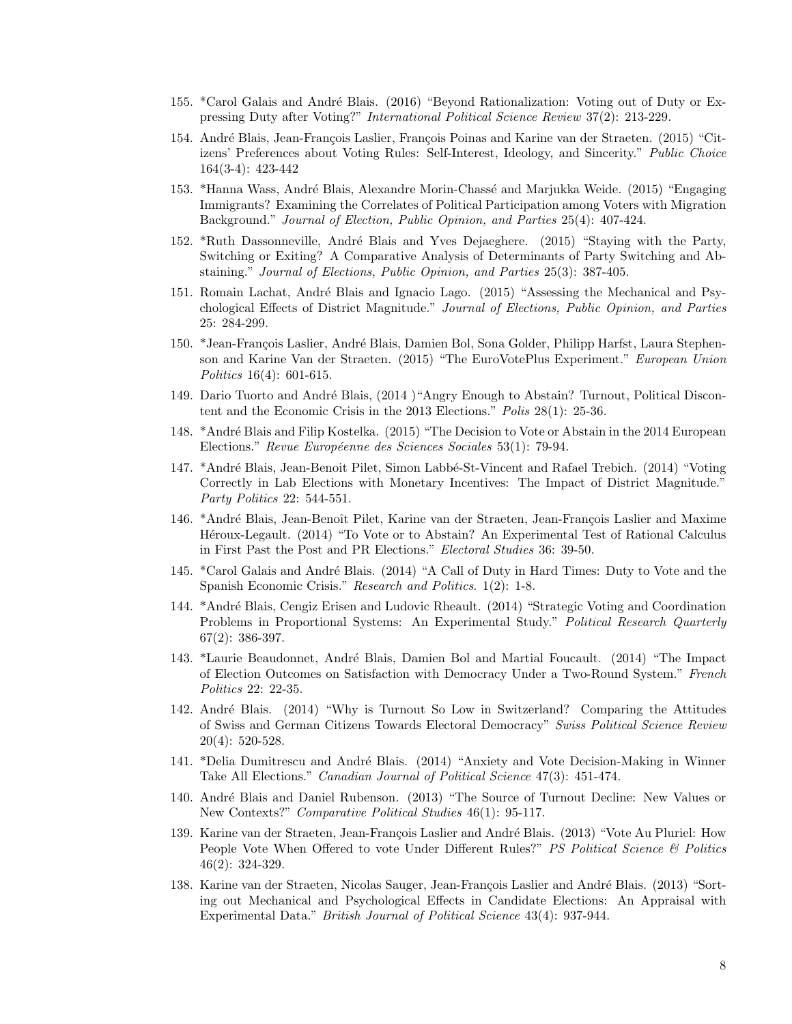- 155. \*Carol Galais and André Blais. (2016) "Beyond Rationalization: Voting out of Duty or Expressing Duty after Voting?" International Political Science Review 37(2): 213-229.
- 154. André Blais, Jean-François Laslier, François Poinas and Karine van der Straeten. (2015) "Citizens' Preferences about Voting Rules: Self-Interest, Ideology, and Sincerity." Public Choice 164(3-4): 423-442
- 153. \*Hanna Wass, André Blais, Alexandre Morin-Chassé and Marjukka Weide. (2015) "Engaging Immigrants? Examining the Correlates of Political Participation among Voters with Migration Background." Journal of Election, Public Opinion, and Parties 25(4): 407-424.
- 152. \*Ruth Dassonneville, André Blais and Yves Dejaeghere. (2015) "Staying with the Party, Switching or Exiting? A Comparative Analysis of Determinants of Party Switching and Abstaining." Journal of Elections, Public Opinion, and Parties 25(3): 387-405.
- 151. Romain Lachat, André Blais and Ignacio Lago. (2015) "Assessing the Mechanical and Psychological Effects of District Magnitude." Journal of Elections, Public Opinion, and Parties 25: 284-299.
- 150. \*Jean-François Laslier, André Blais, Damien Bol, Sona Golder, Philipp Harfst, Laura Stephenson and Karine Van der Straeten. (2015) "The EuroVotePlus Experiment." European Union Politics 16(4): 601-615.
- 149. Dario Tuorto and André Blais, (2014) "Angry Enough to Abstain? Turnout, Political Discontent and the Economic Crisis in the 2013 Elections." Polis 28(1): 25-36.
- 148. \*André Blais and Filip Kostelka. (2015) "The Decision to Vote or Abstain in the 2014 European Elections." Revue Européenne des Sciences Sociales 53(1): 79-94.
- 147. \*André Blais, Jean-Benoit Pilet, Simon Labbé-St-Vincent and Rafael Trebich. (2014) "Voting Correctly in Lab Elections with Monetary Incentives: The Impact of District Magnitude." Party Politics 22: 544-551.
- 146. \*André Blais, Jean-Benoît Pilet, Karine van der Straeten, Jean-François Laslier and Maxime Heroux-Legault. (2014) "To Vote or to Abstain? An Experimental Test of Rational Calculus in First Past the Post and PR Elections." Electoral Studies 36: 39-50.
- 145. \*Carol Galais and André Blais. (2014) "A Call of Duty in Hard Times: Duty to Vote and the Spanish Economic Crisis." Research and Politics. 1(2): 1-8.
- 144. \*Andr´e Blais, Cengiz Erisen and Ludovic Rheault. (2014) "Strategic Voting and Coordination Problems in Proportional Systems: An Experimental Study." Political Research Quarterly 67(2): 386-397.
- 143. \*Laurie Beaudonnet, André Blais, Damien Bol and Martial Foucault. (2014) "The Impact of Election Outcomes on Satisfaction with Democracy Under a Two-Round System." French Politics 22: 22-35.
- 142. André Blais. (2014) "Why is Turnout So Low in Switzerland? Comparing the Attitudes of Swiss and German Citizens Towards Electoral Democracy" Swiss Political Science Review 20(4): 520-528.
- 141. \*Delia Dumitrescu and André Blais. (2014) "Anxiety and Vote Decision-Making in Winner Take All Elections." Canadian Journal of Political Science 47(3): 451-474.
- 140. André Blais and Daniel Rubenson. (2013) "The Source of Turnout Decline: New Values or New Contexts?" Comparative Political Studies 46(1): 95-117.
- 139. Karine van der Straeten, Jean-François Laslier and André Blais. (2013) "Vote Au Pluriel: How People Vote When Offered to vote Under Different Rules?" *PS Political Science & Politics* 46(2): 324-329.
- 138. Karine van der Straeten, Nicolas Sauger, Jean-François Laslier and André Blais. (2013) "Sorting out Mechanical and Psychological Effects in Candidate Elections: An Appraisal with Experimental Data." British Journal of Political Science 43(4): 937-944.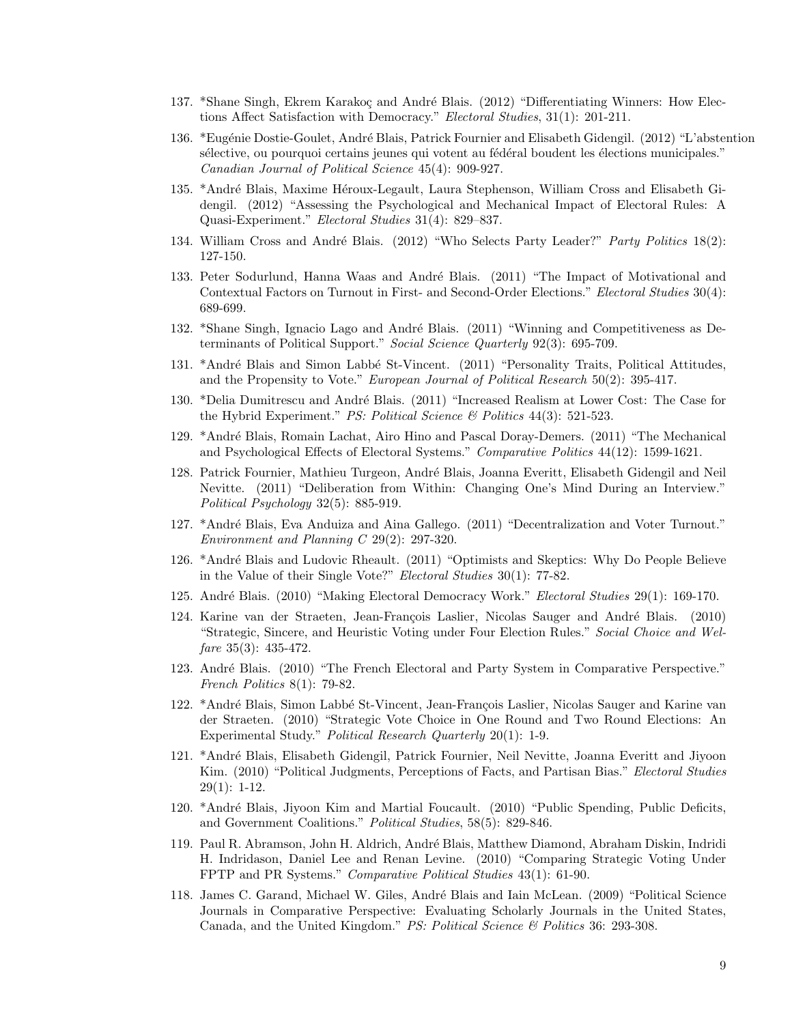- 137. \*Shane Singh, Ekrem Karakoç and André Blais. (2012) "Differentiating Winners: How Elections Affect Satisfaction with Democracy." Electoral Studies, 31(1): 201-211.
- 136. \*Eugénie Dostie-Goulet, André Blais, Patrick Fournier and Elisabeth Gidengil. (2012) "L'abstention s'elective, ou pourquoi certains jeunes qui votent au fédéral boudent les élections municipales." Canadian Journal of Political Science 45(4): 909-927.
- 135. \*André Blais, Maxime Héroux-Legault, Laura Stephenson, William Cross and Elisabeth Gidengil. (2012) "Assessing the Psychological and Mechanical Impact of Electoral Rules: A Quasi-Experiment." Electoral Studies 31(4): 829–837.
- 134. William Cross and André Blais. (2012) "Who Selects Party Leader?" Party Politics 18(2): 127-150.
- 133. Peter Sodurlund, Hanna Waas and André Blais. (2011) "The Impact of Motivational and Contextual Factors on Turnout in First- and Second-Order Elections." Electoral Studies 30(4): 689-699.
- 132. \*Shane Singh, Ignacio Lago and André Blais. (2011) "Winning and Competitiveness as Determinants of Political Support." Social Science Quarterly 92(3): 695-709.
- 131. \*André Blais and Simon Labbé St-Vincent. (2011) "Personality Traits, Political Attitudes, and the Propensity to Vote." European Journal of Political Research 50(2): 395-417.
- 130. \*Delia Dumitrescu and André Blais. (2011) "Increased Realism at Lower Cost: The Case for the Hybrid Experiment." *PS: Political Science & Politics*  $44(3)$ : 521-523.
- 129. \*Andr´e Blais, Romain Lachat, Airo Hino and Pascal Doray-Demers. (2011) "The Mechanical and Psychological Effects of Electoral Systems." Comparative Politics 44(12): 1599-1621.
- 128. Patrick Fournier, Mathieu Turgeon, André Blais, Joanna Everitt, Elisabeth Gidengil and Neil Nevitte. (2011) "Deliberation from Within: Changing One's Mind During an Interview." Political Psychology 32(5): 885-919.
- 127. \*André Blais, Eva Anduiza and Aina Gallego. (2011) "Decentralization and Voter Turnout." Environment and Planning C 29(2): 297-320.
- 126. \*André Blais and Ludovic Rheault. (2011) "Optimists and Skeptics: Why Do People Believe in the Value of their Single Vote?" Electoral Studies 30(1): 77-82.
- 125. André Blais. (2010) "Making Electoral Democracy Work." Electoral Studies 29(1): 169-170.
- 124. Karine van der Straeten, Jean-François Laslier, Nicolas Sauger and André Blais. (2010) "Strategic, Sincere, and Heuristic Voting under Four Election Rules." Social Choice and Welfare  $35(3)$ :  $435-472$ .
- 123. André Blais. (2010) "The French Electoral and Party System in Comparative Perspective." French Politics 8(1): 79-82.
- 122. \*André Blais, Simon Labbé St-Vincent, Jean-François Laslier, Nicolas Sauger and Karine van der Straeten. (2010) "Strategic Vote Choice in One Round and Two Round Elections: An Experimental Study." Political Research Quarterly 20(1): 1-9.
- 121. \*Andr´e Blais, Elisabeth Gidengil, Patrick Fournier, Neil Nevitte, Joanna Everitt and Jiyoon Kim. (2010) "Political Judgments, Perceptions of Facts, and Partisan Bias." Electoral Studies 29(1): 1-12.
- 120. \*Andr´e Blais, Jiyoon Kim and Martial Foucault. (2010) "Public Spending, Public Deficits, and Government Coalitions." Political Studies, 58(5): 829-846.
- 119. Paul R. Abramson, John H. Aldrich, Andr´e Blais, Matthew Diamond, Abraham Diskin, Indridi H. Indridason, Daniel Lee and Renan Levine. (2010) "Comparing Strategic Voting Under FPTP and PR Systems." Comparative Political Studies 43(1): 61-90.
- 118. James C. Garand, Michael W. Giles, Andr´e Blais and Iain McLean. (2009) "Political Science Journals in Comparative Perspective: Evaluating Scholarly Journals in the United States, Canada, and the United Kingdom." PS: Political Science  $\mathcal{B}$  Politics 36: 293-308.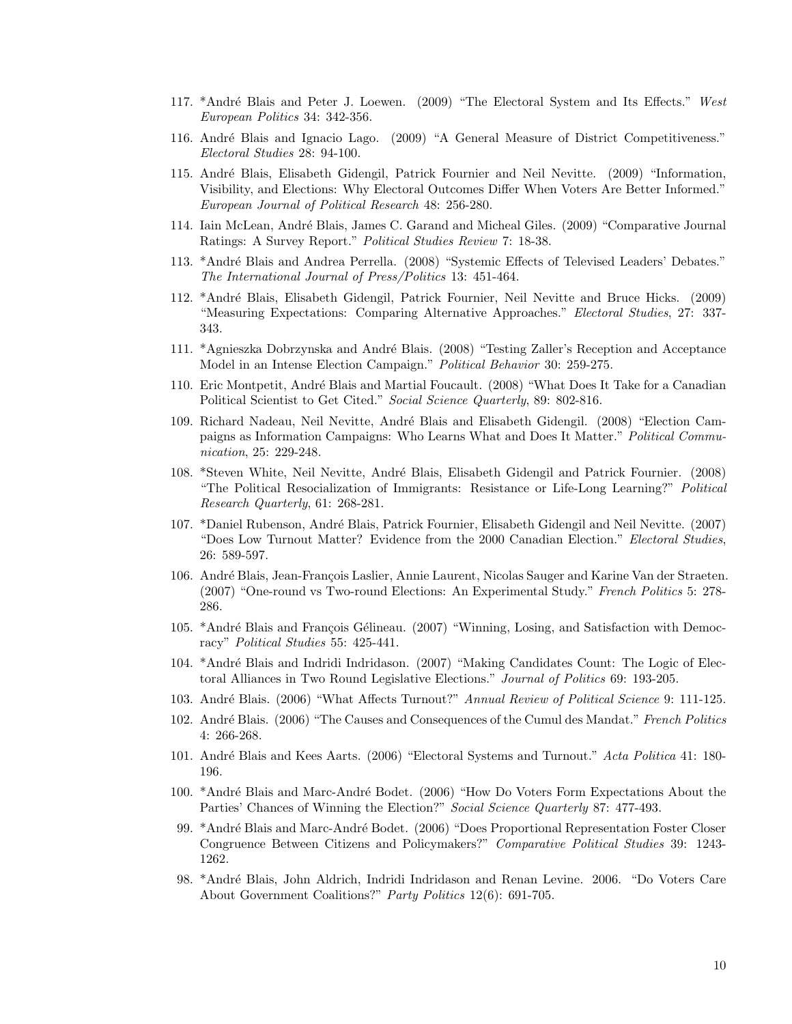- 117. \*André Blais and Peter J. Loewen. (2009) "The Electoral System and Its Effects." West European Politics 34: 342-356.
- 116. André Blais and Ignacio Lago. (2009) "A General Measure of District Competitiveness." Electoral Studies 28: 94-100.
- 115. Andr´e Blais, Elisabeth Gidengil, Patrick Fournier and Neil Nevitte. (2009) "Information, Visibility, and Elections: Why Electoral Outcomes Differ When Voters Are Better Informed." European Journal of Political Research 48: 256-280.
- 114. Iain McLean, Andr´e Blais, James C. Garand and Micheal Giles. (2009) "Comparative Journal Ratings: A Survey Report." Political Studies Review 7: 18-38.
- 113. \*André Blais and Andrea Perrella. (2008) "Systemic Effects of Televised Leaders' Debates." The International Journal of Press/Politics 13: 451-464.
- 112. \*Andr´e Blais, Elisabeth Gidengil, Patrick Fournier, Neil Nevitte and Bruce Hicks. (2009) "Measuring Expectations: Comparing Alternative Approaches." Electoral Studies, 27: 337- 343.
- 111. \*Agnieszka Dobrzynska and André Blais. (2008) "Testing Zaller's Reception and Acceptance Model in an Intense Election Campaign." Political Behavior 30: 259-275.
- 110. Eric Montpetit, André Blais and Martial Foucault. (2008) "What Does It Take for a Canadian Political Scientist to Get Cited." Social Science Quarterly, 89: 802-816.
- 109. Richard Nadeau, Neil Nevitte, André Blais and Elisabeth Gidengil. (2008) "Election Campaigns as Information Campaigns: Who Learns What and Does It Matter." Political Communication, 25: 229-248.
- 108. \*Steven White, Neil Nevitte, André Blais, Elisabeth Gidengil and Patrick Fournier. (2008) "The Political Resocialization of Immigrants: Resistance or Life-Long Learning?" Political Research Quarterly, 61: 268-281.
- 107. \*Daniel Rubenson, Andr´e Blais, Patrick Fournier, Elisabeth Gidengil and Neil Nevitte. (2007) "Does Low Turnout Matter? Evidence from the 2000 Canadian Election." Electoral Studies, 26: 589-597.
- 106. André Blais, Jean-François Laslier, Annie Laurent, Nicolas Sauger and Karine Van der Straeten. (2007) "One-round vs Two-round Elections: An Experimental Study." French Politics 5: 278- 286.
- 105. \*André Blais and François Gélineau. (2007) "Winning, Losing, and Satisfaction with Democracy" Political Studies 55: 425-441.
- 104. \*André Blais and Indridi Indridason. (2007) "Making Candidates Count: The Logic of Electoral Alliances in Two Round Legislative Elections." Journal of Politics 69: 193-205.
- 103. André Blais. (2006) "What Affects Turnout?" Annual Review of Political Science 9: 111-125.
- 102. André Blais. (2006) "The Causes and Consequences of the Cumul des Mandat." French Politics 4: 266-268.
- 101. André Blais and Kees Aarts. (2006) "Electoral Systems and Turnout." Acta Politica 41: 180-196.
- 100. \*André Blais and Marc-André Bodet. (2006) "How Do Voters Form Expectations About the Parties' Chances of Winning the Election?" Social Science Quarterly 87: 477-493.
- 99. \*André Blais and Marc-André Bodet. (2006) "Does Proportional Representation Foster Closer Congruence Between Citizens and Policymakers?" Comparative Political Studies 39: 1243- 1262.
- 98. \*Andr´e Blais, John Aldrich, Indridi Indridason and Renan Levine. 2006. "Do Voters Care About Government Coalitions?" Party Politics 12(6): 691-705.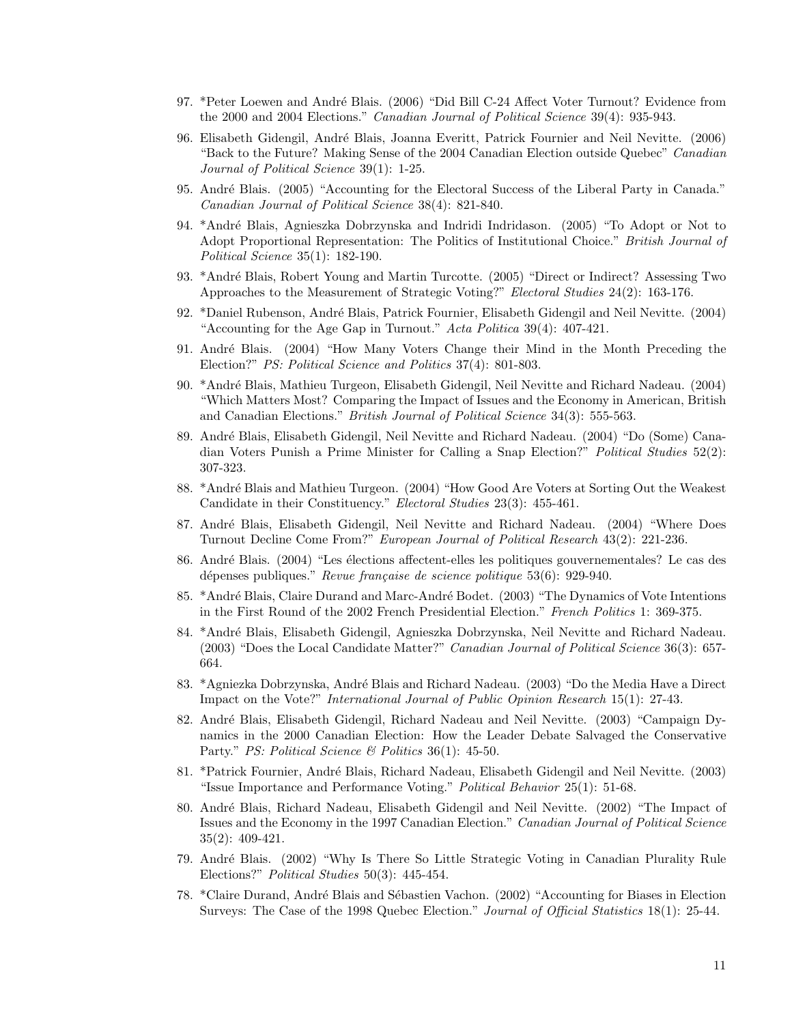- 97. \*Peter Loewen and André Blais. (2006) "Did Bill C-24 Affect Voter Turnout? Evidence from the 2000 and 2004 Elections." *Canadian Journal of Political Science* 39(4): 935-943.
- 96. Elisabeth Gidengil, André Blais, Joanna Everitt, Patrick Fournier and Neil Nevitte. (2006) "Back to the Future? Making Sense of the 2004 Canadian Election outside Quebec" Canadian Journal of Political Science 39(1): 1-25.
- 95. André Blais. (2005) "Accounting for the Electoral Success of the Liberal Party in Canada." Canadian Journal of Political Science 38(4): 821-840.
- 94. \*Andr´e Blais, Agnieszka Dobrzynska and Indridi Indridason. (2005) "To Adopt or Not to Adopt Proportional Representation: The Politics of Institutional Choice." British Journal of Political Science 35(1): 182-190.
- 93. \*André Blais, Robert Young and Martin Turcotte. (2005) "Direct or Indirect? Assessing Two Approaches to the Measurement of Strategic Voting?" Electoral Studies 24(2): 163-176.
- 92. \*Daniel Rubenson, Andr´e Blais, Patrick Fournier, Elisabeth Gidengil and Neil Nevitte. (2004) "Accounting for the Age Gap in Turnout." Acta Politica 39(4): 407-421.
- 91. André Blais. (2004) "How Many Voters Change their Mind in the Month Preceding the Election?" PS: Political Science and Politics 37(4): 801-803.
- 90. \*Andr´e Blais, Mathieu Turgeon, Elisabeth Gidengil, Neil Nevitte and Richard Nadeau. (2004) "Which Matters Most? Comparing the Impact of Issues and the Economy in American, British and Canadian Elections." *British Journal of Political Science* 34(3): 555-563.
- 89. Andr´e Blais, Elisabeth Gidengil, Neil Nevitte and Richard Nadeau. (2004) "Do (Some) Canadian Voters Punish a Prime Minister for Calling a Snap Election?" *Political Studies* 52(2): 307-323.
- 88. \*André Blais and Mathieu Turgeon. (2004) "How Good Are Voters at Sorting Out the Weakest Candidate in their Constituency." Electoral Studies 23(3): 455-461.
- 87. André Blais, Elisabeth Gidengil, Neil Nevitte and Richard Nadeau. (2004) "Where Does Turnout Decline Come From?" European Journal of Political Research 43(2): 221-236.
- 86. André Blais. (2004) "Les élections affectent-elles les politiques gouvernementales? Le cas des dépenses publiques." Revue française de science politique  $53(6)$ : 929-940.
- 85. \*André Blais, Claire Durand and Marc-André Bodet. (2003) "The Dynamics of Vote Intentions in the First Round of the 2002 French Presidential Election." French Politics 1: 369-375.
- 84. \*Andr´e Blais, Elisabeth Gidengil, Agnieszka Dobrzynska, Neil Nevitte and Richard Nadeau. (2003) "Does the Local Candidate Matter?" Canadian Journal of Political Science 36(3): 657- 664.
- 83. \*Agniezka Dobrzynska, André Blais and Richard Nadeau. (2003) "Do the Media Have a Direct Impact on the Vote?" International Journal of Public Opinion Research 15(1): 27-43.
- 82. André Blais, Elisabeth Gidengil, Richard Nadeau and Neil Nevitte. (2003) "Campaign Dynamics in the 2000 Canadian Election: How the Leader Debate Salvaged the Conservative Party." PS: Political Science & Politics 36(1): 45-50.
- 81. \*Patrick Fournier, André Blais, Richard Nadeau, Elisabeth Gidengil and Neil Nevitte. (2003) "Issue Importance and Performance Voting." Political Behavior 25(1): 51-68.
- 80. André Blais, Richard Nadeau, Elisabeth Gidengil and Neil Nevitte. (2002) "The Impact of Issues and the Economy in the 1997 Canadian Election." Canadian Journal of Political Science 35(2): 409-421.
- 79. Andr´e Blais. (2002) "Why Is There So Little Strategic Voting in Canadian Plurality Rule Elections?" Political Studies 50(3): 445-454.
- 78. \*Claire Durand, André Blais and Sébastien Vachon. (2002) "Accounting for Biases in Election Surveys: The Case of the 1998 Quebec Election." Journal of Official Statistics 18(1): 25-44.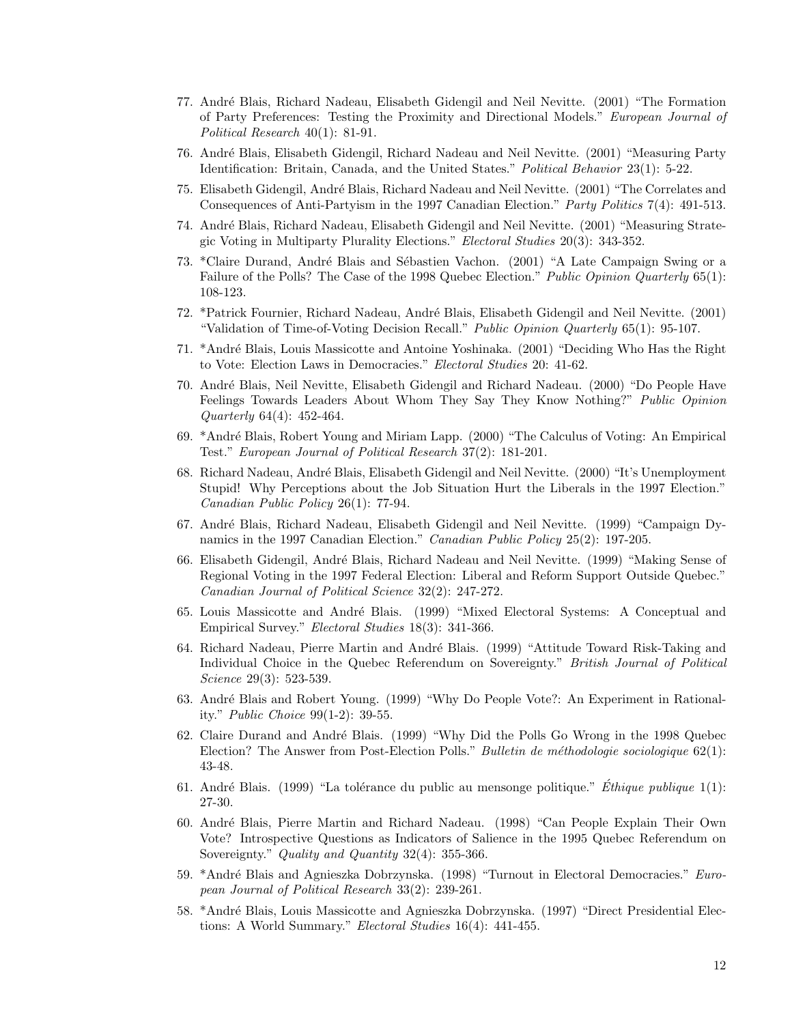- 77. Andr´e Blais, Richard Nadeau, Elisabeth Gidengil and Neil Nevitte. (2001) "The Formation of Party Preferences: Testing the Proximity and Directional Models." European Journal of Political Research 40(1): 81-91.
- 76. Andr´e Blais, Elisabeth Gidengil, Richard Nadeau and Neil Nevitte. (2001) "Measuring Party Identification: Britain, Canada, and the United States." Political Behavior 23(1): 5-22.
- 75. Elisabeth Gidengil, André Blais, Richard Nadeau and Neil Nevitte. (2001) "The Correlates and Consequences of Anti-Partyism in the 1997 Canadian Election." Party Politics 7(4): 491-513.
- 74. Andr´e Blais, Richard Nadeau, Elisabeth Gidengil and Neil Nevitte. (2001) "Measuring Strategic Voting in Multiparty Plurality Elections." Electoral Studies 20(3): 343-352.
- 73. \*Claire Durand, André Blais and Sébastien Vachon. (2001) "A Late Campaign Swing or a Failure of the Polls? The Case of the 1998 Quebec Election." Public Opinion Quarterly 65(1): 108-123.
- 72. \*Patrick Fournier, Richard Nadeau, Andr´e Blais, Elisabeth Gidengil and Neil Nevitte. (2001) "Validation of Time-of-Voting Decision Recall." Public Opinion Quarterly 65(1): 95-107.
- 71. \*Andr´e Blais, Louis Massicotte and Antoine Yoshinaka. (2001) "Deciding Who Has the Right to Vote: Election Laws in Democracies." Electoral Studies 20: 41-62.
- 70. Andr´e Blais, Neil Nevitte, Elisabeth Gidengil and Richard Nadeau. (2000) "Do People Have Feelings Towards Leaders About Whom They Say They Know Nothing?" Public Opinion Quarterly 64(4): 452-464.
- 69. \*Andr´e Blais, Robert Young and Miriam Lapp. (2000) "The Calculus of Voting: An Empirical Test." European Journal of Political Research 37(2): 181-201.
- 68. Richard Nadeau, Andr´e Blais, Elisabeth Gidengil and Neil Nevitte. (2000) "It's Unemployment Stupid! Why Perceptions about the Job Situation Hurt the Liberals in the 1997 Election." Canadian Public Policy 26(1): 77-94.
- 67. Andr´e Blais, Richard Nadeau, Elisabeth Gidengil and Neil Nevitte. (1999) "Campaign Dynamics in the 1997 Canadian Election." Canadian Public Policy 25(2): 197-205.
- 66. Elisabeth Gidengil, André Blais, Richard Nadeau and Neil Nevitte. (1999) "Making Sense of Regional Voting in the 1997 Federal Election: Liberal and Reform Support Outside Quebec." Canadian Journal of Political Science 32(2): 247-272.
- 65. Louis Massicotte and André Blais. (1999) "Mixed Electoral Systems: A Conceptual and Empirical Survey." Electoral Studies 18(3): 341-366.
- 64. Richard Nadeau, Pierre Martin and André Blais. (1999) "Attitude Toward Risk-Taking and Individual Choice in the Quebec Referendum on Sovereignty." British Journal of Political Science 29(3): 523-539.
- 63. André Blais and Robert Young. (1999) "Why Do People Vote?: An Experiment in Rationality." Public Choice 99(1-2): 39-55.
- 62. Claire Durand and André Blais. (1999) "Why Did the Polls Go Wrong in the 1998 Quebec Election? The Answer from Post-Election Polls." *Bulletin de méthodologie sociologique*  $62(1)$ : 43-48.
- 61. André Blais. (1999) "La tolérance du public au mensonge politique." Ethique publique  $1(1)$ : 27-30.
- 60. Andr´e Blais, Pierre Martin and Richard Nadeau. (1998) "Can People Explain Their Own Vote? Introspective Questions as Indicators of Salience in the 1995 Quebec Referendum on Sovereignty." Quality and Quantity 32(4): 355-366.
- 59. \*André Blais and Agnieszka Dobrzynska. (1998) "Turnout in Electoral Democracies." European Journal of Political Research 33(2): 239-261.
- 58. \*Andr´e Blais, Louis Massicotte and Agnieszka Dobrzynska. (1997) "Direct Presidential Elections: A World Summary." Electoral Studies 16(4): 441-455.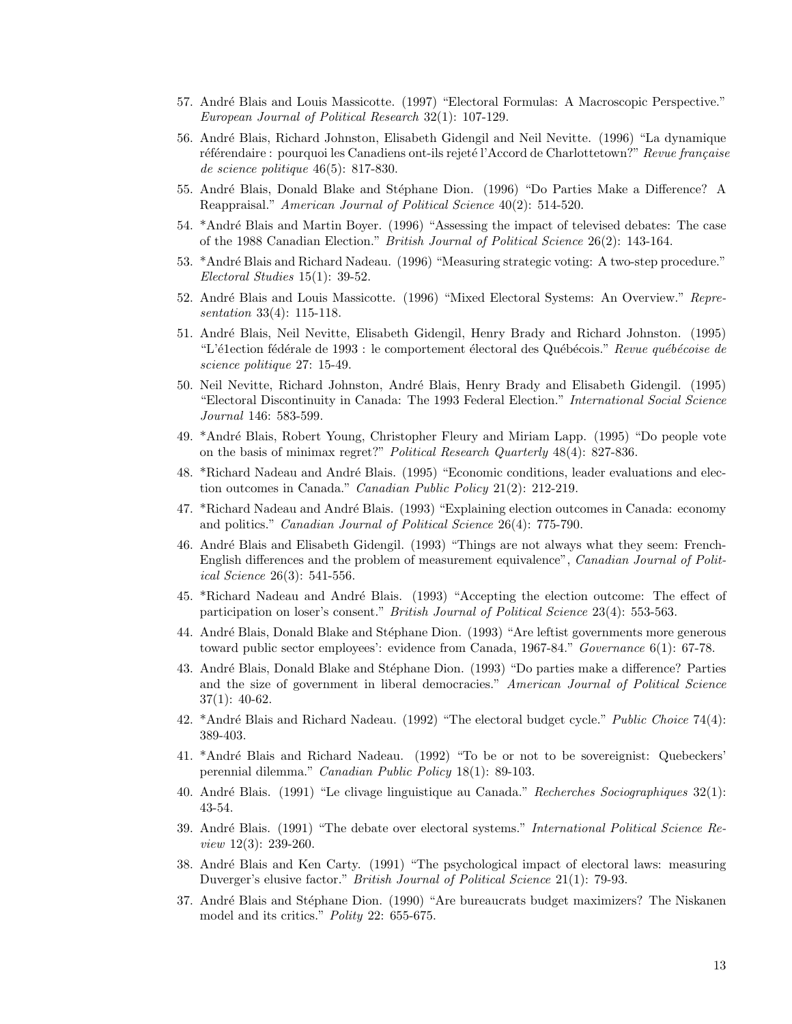- 57. André Blais and Louis Massicotte. (1997) "Electoral Formulas: A Macroscopic Perspective." European Journal of Political Research 32(1): 107-129.
- 56. Andr´e Blais, Richard Johnston, Elisabeth Gidengil and Neil Nevitte. (1996) "La dynamique référendaire : pourquoi les Canadiens ont-ils rejeté l'Accord de Charlottetown?" Revue française de science politique 46(5): 817-830.
- 55. André Blais, Donald Blake and Stéphane Dion. (1996) "Do Parties Make a Difference? A Reappraisal." American Journal of Political Science 40(2): 514-520.
- 54. \*André Blais and Martin Boyer. (1996) "Assessing the impact of televised debates: The case of the 1988 Canadian Election." British Journal of Political Science 26(2): 143-164.
- 53. \*André Blais and Richard Nadeau. (1996) "Measuring strategic voting: A two-step procedure." Electoral Studies 15(1): 39-52.
- 52. André Blais and Louis Massicotte. (1996) "Mixed Electoral Systems: An Overview." Representation 33(4): 115-118.
- 51. Andr´e Blais, Neil Nevitte, Elisabeth Gidengil, Henry Brady and Richard Johnston. (1995) "L'é1ection fédérale de 1993 : le comportement électoral des Québécois." Revue québécoise de science politique 27: 15-49.
- 50. Neil Nevitte, Richard Johnston, André Blais, Henry Brady and Elisabeth Gidengil. (1995) "Electoral Discontinuity in Canada: The 1993 Federal Election." International Social Science Journal 146: 583-599.
- 49. \*Andr´e Blais, Robert Young, Christopher Fleury and Miriam Lapp. (1995) "Do people vote on the basis of minimax regret?" Political Research Quarterly 48(4): 827-836.
- 48. \*Richard Nadeau and André Blais. (1995) "Economic conditions, leader evaluations and election outcomes in Canada." Canadian Public Policy 21(2): 212-219.
- 47. \*Richard Nadeau and André Blais. (1993) "Explaining election outcomes in Canada: economy and politics." Canadian Journal of Political Science 26(4): 775-790.
- 46. André Blais and Elisabeth Gidengil. (1993) "Things are not always what they seem: French-English differences and the problem of measurement equivalence", Canadian Journal of Political Science 26(3): 541-556.
- 45. \*Richard Nadeau and André Blais. (1993) "Accepting the election outcome: The effect of participation on loser's consent." British Journal of Political Science 23(4): 553-563.
- 44. André Blais, Donald Blake and Stéphane Dion. (1993) "Are leftist governments more generous toward public sector employees': evidence from Canada, 1967-84." Governance 6(1): 67-78.
- 43. André Blais, Donald Blake and Stéphane Dion. (1993) "Do parties make a difference? Parties and the size of government in liberal democracies." American Journal of Political Science 37(1): 40-62.
- 42. \*André Blais and Richard Nadeau. (1992) "The electoral budget cycle." *Public Choice* 74(4): 389-403.
- 41. \*Andr´e Blais and Richard Nadeau. (1992) "To be or not to be sovereignist: Quebeckers' perennial dilemma." Canadian Public Policy 18(1): 89-103.
- 40. Andr´e Blais. (1991) "Le clivage linguistique au Canada." Recherches Sociographiques 32(1): 43-54.
- 39. André Blais. (1991) "The debate over electoral systems." *International Political Science Re*view 12(3): 239-260.
- 38. André Blais and Ken Carty. (1991) "The psychological impact of electoral laws: measuring Duverger's elusive factor." British Journal of Political Science 21(1): 79-93.
- 37. André Blais and Stéphane Dion. (1990) "Are bureaucrats budget maximizers? The Niskanen model and its critics." Polity 22: 655-675.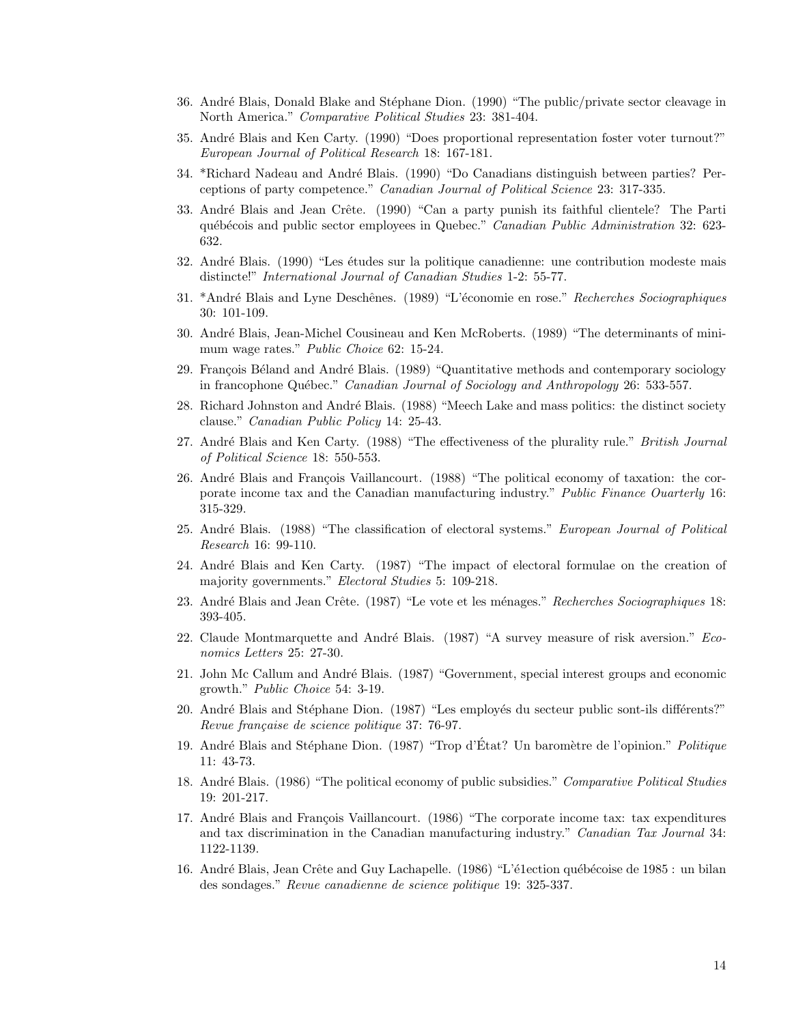- 36. André Blais, Donald Blake and Stéphane Dion. (1990) "The public/private sector cleavage in North America." Comparative Political Studies 23: 381-404.
- 35. Andr´e Blais and Ken Carty. (1990) "Does proportional representation foster voter turnout?" European Journal of Political Research 18: 167-181.
- 34. \*Richard Nadeau and André Blais. (1990) "Do Canadians distinguish between parties? Perceptions of party competence." Canadian Journal of Political Science 23: 317-335.
- 33. André Blais and Jean Crête. (1990) "Can a party punish its faithful clientele? The Parti québécois and public sector employees in Quebec." Canadian Public Administration 32: 623-632.
- 32. André Blais. (1990) "Les études sur la politique canadienne: une contribution modeste mais distincte!" International Journal of Canadian Studies 1-2: 55-77.
- 31. \*André Blais and Lyne Deschênes. (1989) "L'économie en rose." Recherches Sociographiques 30: 101-109.
- 30. Andr´e Blais, Jean-Michel Cousineau and Ken McRoberts. (1989) "The determinants of minimum wage rates." Public Choice 62: 15-24.
- 29. François Béland and André Blais. (1989) "Quantitative methods and contemporary sociology in francophone Québec." Canadian Journal of Sociology and Anthropology 26: 533-557.
- 28. Richard Johnston and André Blais. (1988) "Meech Lake and mass politics: the distinct society clause." Canadian Public Policy 14: 25-43.
- 27. André Blais and Ken Carty. (1988) "The effectiveness of the plurality rule." British Journal of Political Science 18: 550-553.
- 26. André Blais and François Vaillancourt. (1988) "The political economy of taxation: the corporate income tax and the Canadian manufacturing industry." Public Finance Ouarterly 16: 315-329.
- 25. André Blais. (1988) "The classification of electoral systems." European Journal of Political Research 16: 99-110.
- 24. Andr´e Blais and Ken Carty. (1987) "The impact of electoral formulae on the creation of majority governments." Electoral Studies 5: 109-218.
- 23. André Blais and Jean Crête. (1987) "Le vote et les ménages." Recherches Sociographiques 18: 393-405.
- 22. Claude Montmarquette and André Blais.  $(1987)$  "A survey measure of risk aversion." Economics Letters 25: 27-30.
- 21. John Mc Callum and Andr´e Blais. (1987) "Government, special interest groups and economic growth." Public Choice 54: 3-19.
- 20. André Blais and Stéphane Dion. (1987) "Les employés du secteur public sont-ils différents?" Revue française de science politique 37: 76-97.
- 19. André Blais and Stéphane Dion. (1987) "Trop d'État? Un baromètre de l'opinion." Politique 11: 43-73.
- 18. André Blais. (1986) "The political economy of public subsidies." Comparative Political Studies 19: 201-217.
- 17. André Blais and François Vaillancourt. (1986) "The corporate income tax: tax expenditures and tax discrimination in the Canadian manufacturing industry." Canadian Tax Journal 34: 1122-1139.
- 16. André Blais, Jean Crête and Guy Lachapelle. (1986) "L'é1ection québécoise de 1985 : un bilan des sondages." Revue canadienne de science politique 19: 325-337.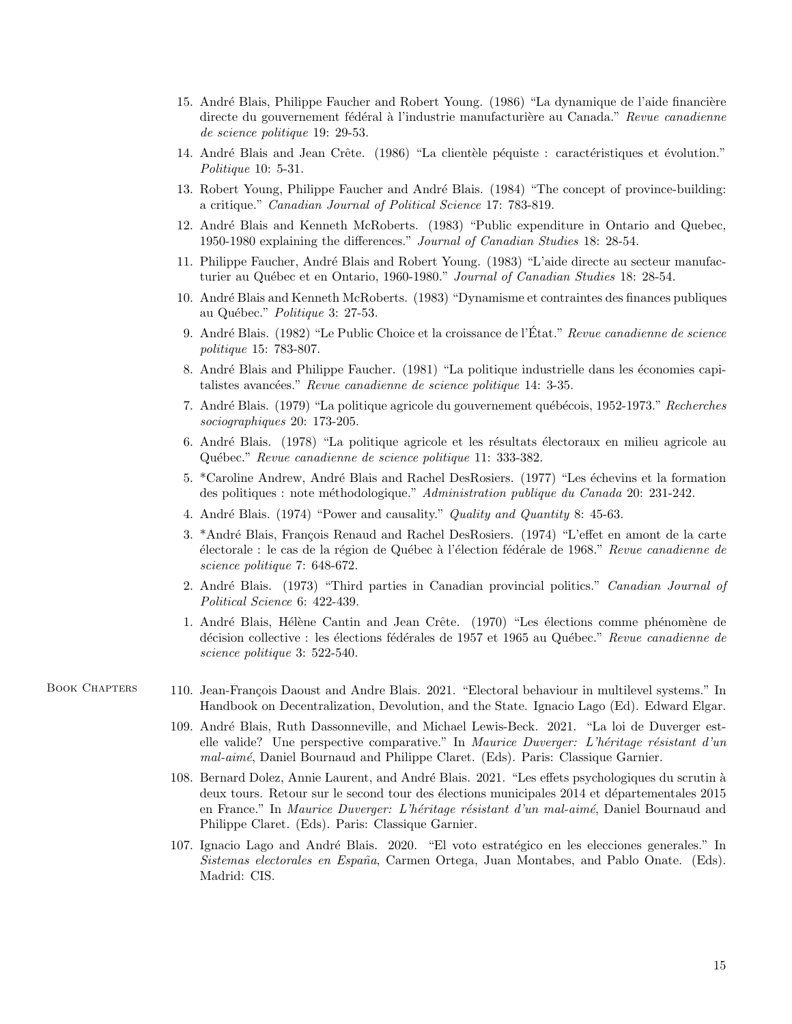- 15. André Blais, Philippe Faucher and Robert Young. (1986) "La dynamique de l'aide financière directe du gouvernement fédéral à l'industrie manufacturière au Canada." Revue canadienne de science politique 19: 29-53.
- 14. André Blais and Jean Crête. (1986) "La clientèle péquiste : caractéristiques et évolution." Politique 10: 5-31.
- 13. Robert Young, Philippe Faucher and André Blais. (1984) "The concept of province-building: a critique." Canadian Journal of Political Science 17: 783-819.
- 12. Andr´e Blais and Kenneth McRoberts. (1983) "Public expenditure in Ontario and Quebec, 1950-1980 explaining the differences." Journal of Canadian Studies 18: 28-54.
- 11. Philippe Faucher, Andr´e Blais and Robert Young. (1983) "L'aide directe au secteur manufacturier au Québec et en Ontario, 1960-1980." Journal of Canadian Studies 18: 28-54.
- 10. Andr´e Blais and Kenneth McRoberts. (1983) "Dynamisme et contraintes des finances publiques au Québec." Politique 3: 27-53.
- 9. André Blais. (1982) "Le Public Choice et la croissance de l'État." Revue canadienne de science politique 15: 783-807.
- 8. André Blais and Philippe Faucher. (1981) "La politique industrielle dans les économies capitalistes avancées." Revue canadienne de science politique 14: 3-35.
- 7. André Blais. (1979) "La politique agricole du gouvernement québécois, 1952-1973." Recherches sociographiques 20: 173-205.
- 6. André Blais. (1978) "La politique agricole et les résultats électoraux en milieu agricole au Québec." Revue canadienne de science politique 11: 333-382.
- 5. \*Caroline Andrew, André Blais and Rachel DesRosiers. (1977) "Les échevins et la formation des politiques : note m´ethodologique." Administration publique du Canada 20: 231-242.
- 4. André Blais. (1974) "Power and causality." *Quality and Quantity 8*: 45-63.
- 3. \*André Blais, François Renaud and Rachel DesRosiers. (1974) "L'effet en amont de la carte électorale : le cas de la région de Québec à l'élection fédérale de 1968." Revue canadienne de science politique 7: 648-672.
- 2. André Blais. (1973) "Third parties in Canadian provincial politics." Canadian Journal of Political Science 6: 422-439.
- 1. André Blais, Hélène Cantin and Jean Crête. (1970) "Les élections comme phénomène de décision collective : les élections fédérales de 1957 et 1965 au Québec." Revue canadienne de science politique 3: 522-540.

- BOOK CHAPTERS 110. Jean-François Daoust and Andre Blais. 2021. "Electoral behaviour in multilevel systems." In Handbook on Decentralization, Devolution, and the State. Ignacio Lago (Ed). Edward Elgar.
	- 109. André Blais, Ruth Dassonneville, and Michael Lewis-Beck. 2021. "La loi de Duverger estelle valide? Une perspective comparative." In Maurice Duverger: L'héritage résistant d'un mal-aimé, Daniel Bournaud and Philippe Claret. (Eds). Paris: Classique Garnier.
	- 108. Bernard Dolez, Annie Laurent, and André Blais. 2021. "Les effets psychologiques du scrutin à deux tours. Retour sur le second tour des élections municipales 2014 et départementales 2015 en France." In Maurice Duverger: L'héritage résistant d'un mal-aimé, Daniel Bournaud and Philippe Claret. (Eds). Paris: Classique Garnier.
	- 107. Ignacio Lago and André Blais. 2020. "El voto estratégico en les elecciones generales." In Sistemas electorales en España, Carmen Ortega, Juan Montabes, and Pablo Onate. (Eds). Madrid: CIS.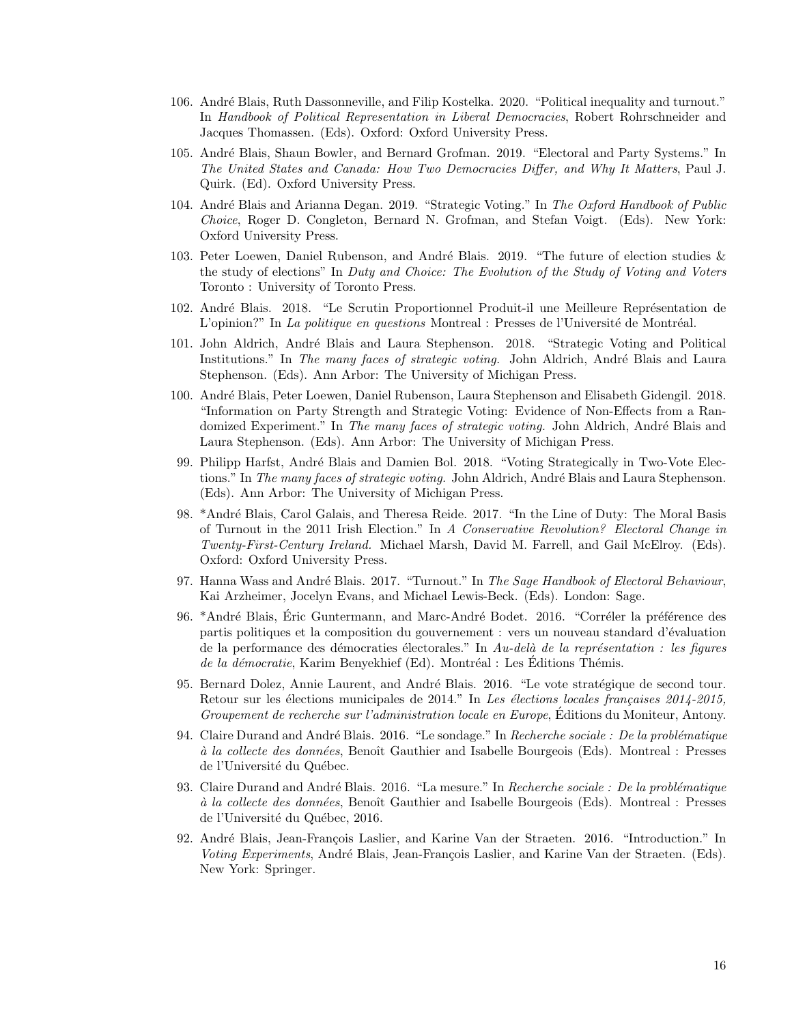- 106. André Blais, Ruth Dassonneville, and Filip Kostelka. 2020. "Political inequality and turnout." In Handbook of Political Representation in Liberal Democracies, Robert Rohrschneider and Jacques Thomassen. (Eds). Oxford: Oxford University Press.
- 105. André Blais, Shaun Bowler, and Bernard Grofman. 2019. "Electoral and Party Systems." In The United States and Canada: How Two Democracies Differ, and Why It Matters, Paul J. Quirk. (Ed). Oxford University Press.
- 104. André Blais and Arianna Degan. 2019. "Strategic Voting." In The Oxford Handbook of Public Choice, Roger D. Congleton, Bernard N. Grofman, and Stefan Voigt. (Eds). New York: Oxford University Press.
- 103. Peter Loewen, Daniel Rubenson, and André Blais. 2019. "The future of election studies  $\&$ the study of elections" In Duty and Choice: The Evolution of the Study of Voting and Voters Toronto : University of Toronto Press.
- 102. André Blais. 2018. "Le Scrutin Proportionnel Produit-il une Meilleure Représentation de L'opinion?" In La politique en questions Montreal : Presses de l'Université de Montréal.
- 101. John Aldrich, Andr´e Blais and Laura Stephenson. 2018. "Strategic Voting and Political Institutions." In The many faces of strategic voting. John Aldrich, André Blais and Laura Stephenson. (Eds). Ann Arbor: The University of Michigan Press.
- 100. Andr´e Blais, Peter Loewen, Daniel Rubenson, Laura Stephenson and Elisabeth Gidengil. 2018. "Information on Party Strength and Strategic Voting: Evidence of Non-Effects from a Randomized Experiment." In The many faces of strategic voting. John Aldrich, André Blais and Laura Stephenson. (Eds). Ann Arbor: The University of Michigan Press.
- 99. Philipp Harfst, André Blais and Damien Bol. 2018. "Voting Strategically in Two-Vote Elections." In The many faces of strategic voting. John Aldrich, André Blais and Laura Stephenson. (Eds). Ann Arbor: The University of Michigan Press.
- 98. \*André Blais, Carol Galais, and Theresa Reide. 2017. "In the Line of Duty: The Moral Basis of Turnout in the 2011 Irish Election." In A Conservative Revolution? Electoral Change in Twenty-First-Century Ireland. Michael Marsh, David M. Farrell, and Gail McElroy. (Eds). Oxford: Oxford University Press.
- 97. Hanna Wass and André Blais. 2017. "Turnout." In The Sage Handbook of Electoral Behaviour, Kai Arzheimer, Jocelyn Evans, and Michael Lewis-Beck. (Eds). London: Sage.
- 96. \*André Blais, Éric Guntermann, and Marc-André Bodet. 2016. "Corréler la préférence des partis politiques et la composition du gouvernement : vers un nouveau standard d'évaluation de la performance des démocraties électorales." In Au-delà de la représentation : les figures de la démocratie, Karim Benyekhief (Ed). Montréal : Les Éditions Thémis.
- 95. Bernard Dolez, Annie Laurent, and André Blais. 2016. "Le vote stratégique de second tour. Retour sur les élections municipales de 2014." In Les élections locales françaises  $2014$ - $2015$ , Groupement de recherche sur l'administration locale en Europe, Editions du Moniteur, Antony.
- 94. Claire Durand and André Blais. 2016. "Le sondage." In Recherche sociale : De la problématique à la collecte des données, Benoît Gauthier and Isabelle Bourgeois (Eds). Montreal : Presses de l'Université du Québec.
- 93. Claire Durand and André Blais. 2016. "La mesure." In Recherche sociale : De la problématique à la collecte des données, Benoît Gauthier and Isabelle Bourgeois (Eds). Montreal : Presses de l'Université du Québec, 2016.
- 92. André Blais, Jean-François Laslier, and Karine Van der Straeten. 2016. "Introduction." In Voting Experiments, André Blais, Jean-François Laslier, and Karine Van der Straeten. (Eds). New York: Springer.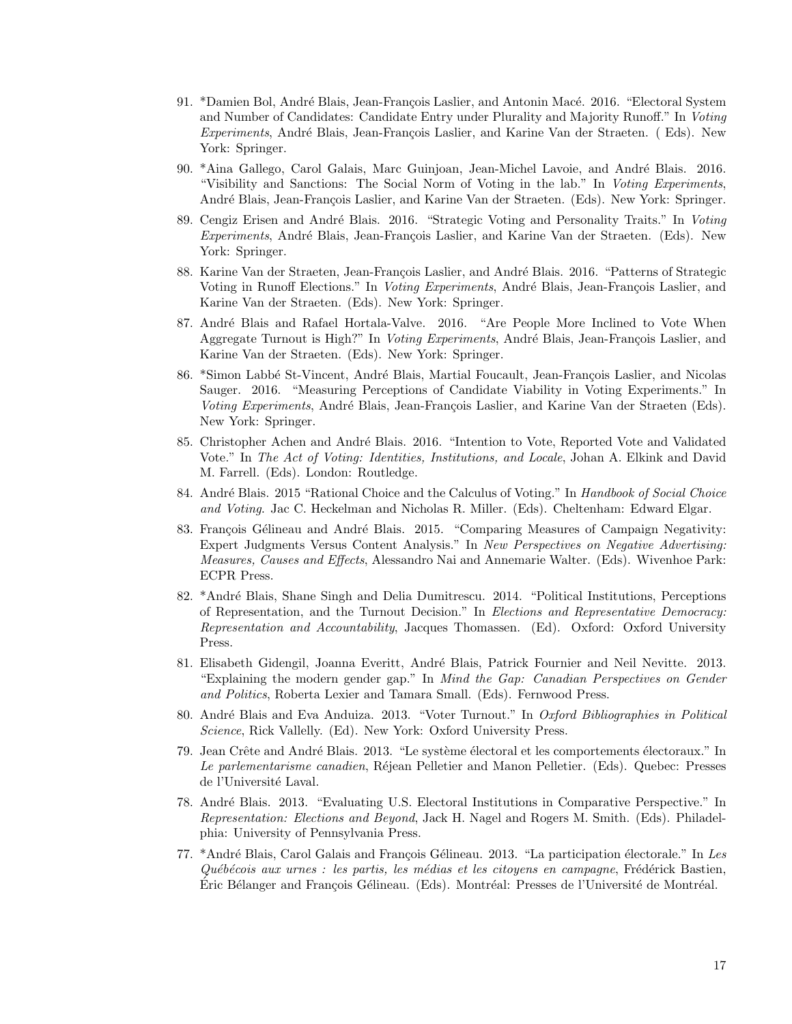- 91. \*Damien Bol, André Blais, Jean-François Laslier, and Antonin Macé. 2016. "Electoral System and Number of Candidates: Candidate Entry under Plurality and Majority Runoff." In Voting  $Experiments$ , André Blais, Jean-François Laslier, and Karine Van der Straeten. (Eds). New York: Springer.
- 90. \*Aina Gallego, Carol Galais, Marc Guinjoan, Jean-Michel Lavoie, and Andr´e Blais. 2016. "Visibility and Sanctions: The Social Norm of Voting in the lab." In Voting Experiments, André Blais, Jean-François Laslier, and Karine Van der Straeten. (Eds). New York: Springer.
- 89. Cengiz Erisen and André Blais. 2016. "Strategic Voting and Personality Traits." In Voting Experiments, André Blais, Jean-François Laslier, and Karine Van der Straeten. (Eds). New York: Springer.
- 88. Karine Van der Straeten, Jean-François Laslier, and André Blais. 2016. "Patterns of Strategic Voting in Runoff Elections." In Voting Experiments, André Blais, Jean-François Laslier, and Karine Van der Straeten. (Eds). New York: Springer.
- 87. André Blais and Rafael Hortala-Valve. 2016. "Are People More Inclined to Vote When Aggregate Turnout is High?" In *Voting Experiments*, André Blais, Jean-François Laslier, and Karine Van der Straeten. (Eds). New York: Springer.
- 86. \*Simon Labbé St-Vincent, André Blais, Martial Foucault, Jean-François Laslier, and Nicolas Sauger. 2016. "Measuring Perceptions of Candidate Viability in Voting Experiments." In Voting Experiments, André Blais, Jean-François Laslier, and Karine Van der Straeten (Eds). New York: Springer.
- 85. Christopher Achen and André Blais. 2016. "Intention to Vote, Reported Vote and Validated Vote." In The Act of Voting: Identities, Institutions, and Locale, Johan A. Elkink and David M. Farrell. (Eds). London: Routledge.
- 84. André Blais. 2015 "Rational Choice and the Calculus of Voting." In Handbook of Social Choice and Voting. Jac C. Heckelman and Nicholas R. Miller. (Eds). Cheltenham: Edward Elgar.
- 83. François Gélineau and André Blais. 2015. "Comparing Measures of Campaign Negativity: Expert Judgments Versus Content Analysis." In New Perspectives on Negative Advertising: Measures, Causes and Effects, Alessandro Nai and Annemarie Walter. (Eds). Wivenhoe Park: ECPR Press.
- 82. \*André Blais, Shane Singh and Delia Dumitrescu. 2014. "Political Institutions, Perceptions of Representation, and the Turnout Decision." In Elections and Representative Democracy: Representation and Accountability, Jacques Thomassen. (Ed). Oxford: Oxford University Press.
- 81. Elisabeth Gidengil, Joanna Everitt, André Blais, Patrick Fournier and Neil Nevitte. 2013. "Explaining the modern gender gap." In Mind the Gap: Canadian Perspectives on Gender and Politics, Roberta Lexier and Tamara Small. (Eds). Fernwood Press.
- 80. André Blais and Eva Anduiza. 2013. "Voter Turnout." In Oxford Bibliographies in Political Science, Rick Vallelly. (Ed). New York: Oxford University Press.
- 79. Jean Crête and André Blais. 2013. "Le système électoral et les comportements électoraux." In Le parlementarisme canadien, Réjean Pelletier and Manon Pelletier. (Eds). Quebec: Presses de l'Université Laval.
- 78. Andr´e Blais. 2013. "Evaluating U.S. Electoral Institutions in Comparative Perspective." In Representation: Elections and Beyond, Jack H. Nagel and Rogers M. Smith. (Eds). Philadelphia: University of Pennsylvania Press.
- 77. \*André Blais, Carol Galais and François Gélineau. 2013. "La participation électorale." In Les  $Québécois aux urnes : les partis, les médias et les citoyens en campagne, Frédérick Bastien,$ Eric Bélanger and François Gélineau. (Eds). Montréal: Presses de l'Université de Montréal.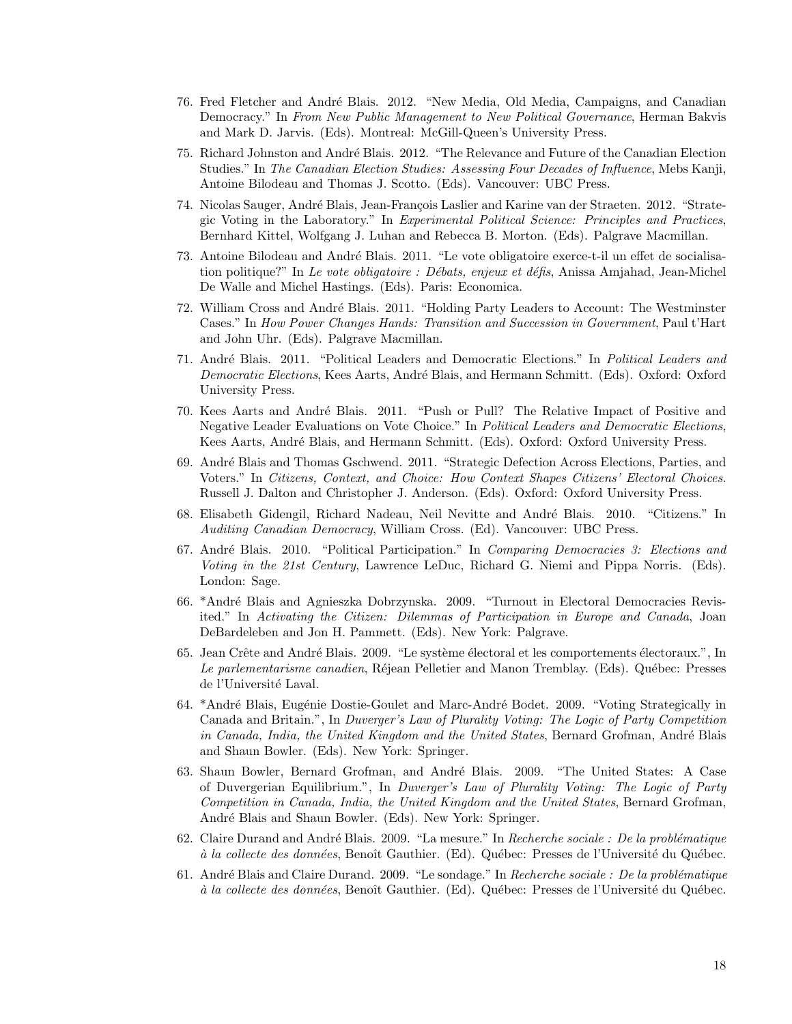- 76. Fred Fletcher and André Blais. 2012. "New Media, Old Media, Campaigns, and Canadian Democracy." In From New Public Management to New Political Governance, Herman Bakvis and Mark D. Jarvis. (Eds). Montreal: McGill-Queen's University Press.
- 75. Richard Johnston and André Blais. 2012. "The Relevance and Future of the Canadian Election Studies." In The Canadian Election Studies: Assessing Four Decades of Influence, Mebs Kanji, Antoine Bilodeau and Thomas J. Scotto. (Eds). Vancouver: UBC Press.
- 74. Nicolas Sauger, André Blais, Jean-François Laslier and Karine van der Straeten. 2012. "Strategic Voting in the Laboratory." In Experimental Political Science: Principles and Practices, Bernhard Kittel, Wolfgang J. Luhan and Rebecca B. Morton. (Eds). Palgrave Macmillan.
- 73. Antoine Bilodeau and André Blais. 2011. "Le vote obligatoire exerce-t-il un effet de socialisation politique?" In Le vote obligatoire : Débats, enjeux et défis, Anissa Amjahad, Jean-Michel De Walle and Michel Hastings. (Eds). Paris: Economica.
- 72. William Cross and André Blais. 2011. "Holding Party Leaders to Account: The Westminster Cases." In How Power Changes Hands: Transition and Succession in Government, Paul t'Hart and John Uhr. (Eds). Palgrave Macmillan.
- 71. André Blais. 2011. "Political Leaders and Democratic Elections." In Political Leaders and Democratic Elections, Kees Aarts, André Blais, and Hermann Schmitt. (Eds). Oxford: Oxford University Press.
- 70. Kees Aarts and Andr´e Blais. 2011. "Push or Pull? The Relative Impact of Positive and Negative Leader Evaluations on Vote Choice." In Political Leaders and Democratic Elections, Kees Aarts, André Blais, and Hermann Schmitt. (Eds). Oxford: Oxford University Press.
- 69. Andr´e Blais and Thomas Gschwend. 2011. "Strategic Defection Across Elections, Parties, and Voters." In Citizens, Context, and Choice: How Context Shapes Citizens' Electoral Choices. Russell J. Dalton and Christopher J. Anderson. (Eds). Oxford: Oxford University Press.
- 68. Elisabeth Gidengil, Richard Nadeau, Neil Nevitte and André Blais. 2010. "Citizens." In Auditing Canadian Democracy, William Cross. (Ed). Vancouver: UBC Press.
- 67. André Blais. 2010. "Political Participation." In Comparing Democracies 3: Elections and Voting in the 21st Century, Lawrence LeDuc, Richard G. Niemi and Pippa Norris. (Eds). London: Sage.
- 66. \*Andr´e Blais and Agnieszka Dobrzynska. 2009. "Turnout in Electoral Democracies Revisited." In Activating the Citizen: Dilemmas of Participation in Europe and Canada, Joan DeBardeleben and Jon H. Pammett. (Eds). New York: Palgrave.
- 65. Jean Crête and André Blais. 2009. "Le système électoral et les comportements électoraux.", In Le parlementarisme canadien, Réjean Pelletier and Manon Tremblay. (Eds). Québec: Presses de l'Université Laval.
- 64. \*André Blais, Eugénie Dostie-Goulet and Marc-André Bodet. 2009. "Voting Strategically in Canada and Britain.", In Duverger's Law of Plurality Voting: The Logic of Party Competition in Canada, India, the United Kingdom and the United States, Bernard Grofman, André Blais and Shaun Bowler. (Eds). New York: Springer.
- 63. Shaun Bowler, Bernard Grofman, and André Blais. 2009. "The United States: A Case of Duvergerian Equilibrium.", In Duverger's Law of Plurality Voting: The Logic of Party Competition in Canada, India, the United Kingdom and the United States, Bernard Grofman, André Blais and Shaun Bowler. (Eds). New York: Springer.
- 62. Claire Durand and André Blais. 2009. "La mesure." In Recherche sociale : De la problématique à la collecte des données, Benoît Gauthier. (Ed). Québec: Presses de l'Université du Québec.
- 61. André Blais and Claire Durand. 2009. "Le sondage." In Recherche sociale : De la problématique à la collecte des données, Benoît Gauthier. (Ed). Québec: Presses de l'Université du Québec.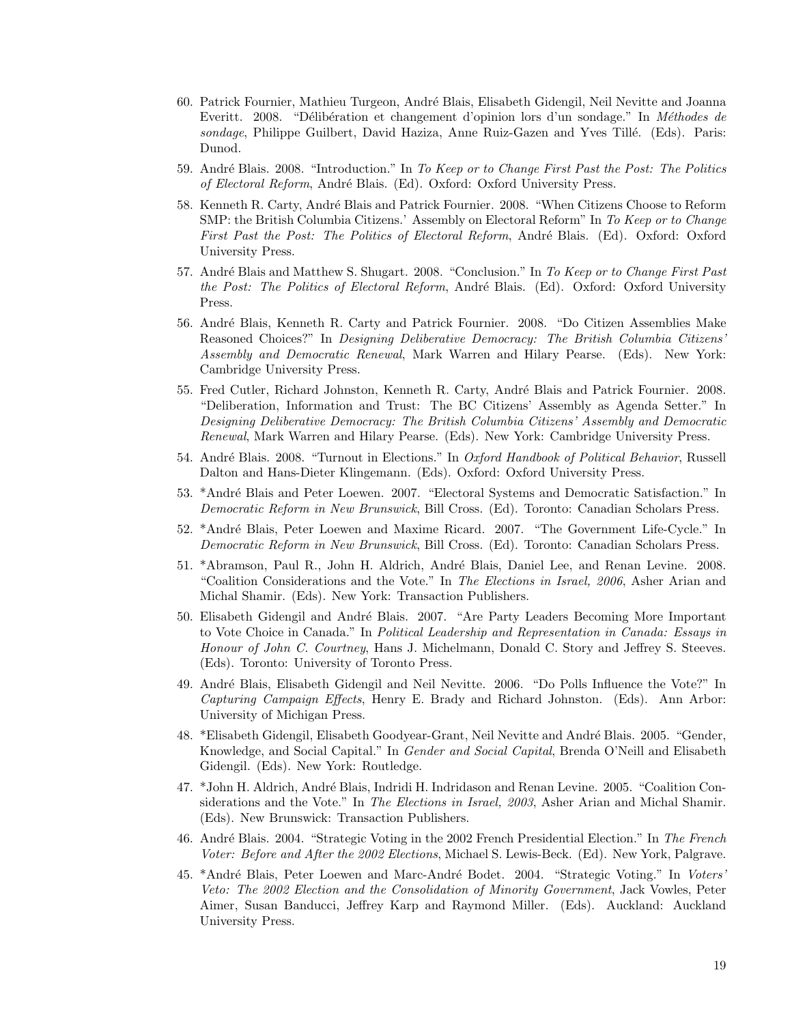- 60. Patrick Fournier, Mathieu Turgeon, André Blais, Elisabeth Gidengil, Neil Nevitte and Joanna Everitt. 2008. "Délibération et changement d'opinion lors d'un sondage." In Méthodes de sondage, Philippe Guilbert, David Haziza, Anne Ruiz-Gazen and Yves Tillé. (Eds). Paris: Dunod.
- 59. André Blais. 2008. "Introduction." In To Keep or to Change First Past the Post: The Politics of Electoral Reform, André Blais. (Ed). Oxford: Oxford University Press.
- 58. Kenneth R. Carty, André Blais and Patrick Fournier. 2008. "When Citizens Choose to Reform SMP: the British Columbia Citizens.' Assembly on Electoral Reform" In To Keep or to Change First Past the Post: The Politics of Electoral Reform, André Blais. (Ed). Oxford: Oxford University Press.
- 57. André Blais and Matthew S. Shugart. 2008. "Conclusion." In To Keep or to Change First Past the Post: The Politics of Electoral Reform, André Blais. (Ed). Oxford: Oxford University Press.
- 56. Andr´e Blais, Kenneth R. Carty and Patrick Fournier. 2008. "Do Citizen Assemblies Make Reasoned Choices?" In Designing Deliberative Democracy: The British Columbia Citizens' Assembly and Democratic Renewal, Mark Warren and Hilary Pearse. (Eds). New York: Cambridge University Press.
- 55. Fred Cutler, Richard Johnston, Kenneth R. Carty, André Blais and Patrick Fournier. 2008. "Deliberation, Information and Trust: The BC Citizens' Assembly as Agenda Setter." In Designing Deliberative Democracy: The British Columbia Citizens' Assembly and Democratic Renewal, Mark Warren and Hilary Pearse. (Eds). New York: Cambridge University Press.
- 54. André Blais. 2008. "Turnout in Elections." In *Oxford Handbook of Political Behavior*, Russell Dalton and Hans-Dieter Klingemann. (Eds). Oxford: Oxford University Press.
- 53. \*André Blais and Peter Loewen. 2007. "Electoral Systems and Democratic Satisfaction." In Democratic Reform in New Brunswick, Bill Cross. (Ed). Toronto: Canadian Scholars Press.
- 52. \*André Blais, Peter Loewen and Maxime Ricard. 2007. "The Government Life-Cycle." In Democratic Reform in New Brunswick, Bill Cross. (Ed). Toronto: Canadian Scholars Press.
- 51. \*Abramson, Paul R., John H. Aldrich, André Blais, Daniel Lee, and Renan Levine. 2008. "Coalition Considerations and the Vote." In The Elections in Israel, 2006, Asher Arian and Michal Shamir. (Eds). New York: Transaction Publishers.
- 50. Elisabeth Gidengil and André Blais. 2007. "Are Party Leaders Becoming More Important to Vote Choice in Canada." In Political Leadership and Representation in Canada: Essays in Honour of John C. Courtney, Hans J. Michelmann, Donald C. Story and Jeffrey S. Steeves. (Eds). Toronto: University of Toronto Press.
- 49. Andr´e Blais, Elisabeth Gidengil and Neil Nevitte. 2006. "Do Polls Influence the Vote?" In Capturing Campaign Effects, Henry E. Brady and Richard Johnston. (Eds). Ann Arbor: University of Michigan Press.
- 48. \*Elisabeth Gidengil, Elisabeth Goodyear-Grant, Neil Nevitte and André Blais. 2005. "Gender, Knowledge, and Social Capital." In Gender and Social Capital, Brenda O'Neill and Elisabeth Gidengil. (Eds). New York: Routledge.
- 47. \*John H. Aldrich, André Blais, Indridi H. Indridason and Renan Levine. 2005. "Coalition Considerations and the Vote." In The Elections in Israel, 2003, Asher Arian and Michal Shamir. (Eds). New Brunswick: Transaction Publishers.
- 46. André Blais. 2004. "Strategic Voting in the 2002 French Presidential Election." In The French Voter: Before and After the 2002 Elections, Michael S. Lewis-Beck. (Ed). New York, Palgrave.
- 45. \*André Blais, Peter Loewen and Marc-André Bodet. 2004. "Strategic Voting." In Voters' Veto: The 2002 Election and the Consolidation of Minority Government, Jack Vowles, Peter Aimer, Susan Banducci, Jeffrey Karp and Raymond Miller. (Eds). Auckland: Auckland University Press.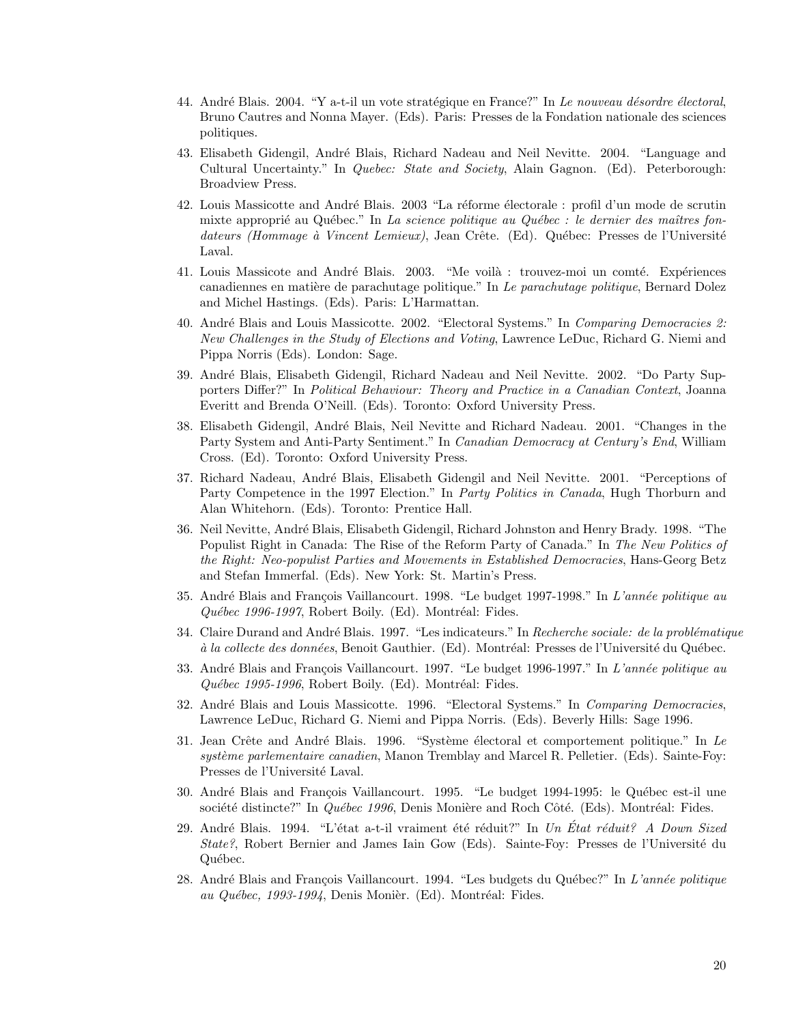- 44. André Blais. 2004. "Y a-t-il un vote stratégique en France?" In Le nouveau désordre électoral, Bruno Cautres and Nonna Mayer. (Eds). Paris: Presses de la Fondation nationale des sciences politiques.
- 43. Elisabeth Gidengil, André Blais, Richard Nadeau and Neil Nevitte. 2004. "Language and Cultural Uncertainty." In Quebec: State and Society, Alain Gagnon. (Ed). Peterborough: Broadview Press.
- 42. Louis Massicotte and André Blais. 2003 "La réforme électorale : profil d'un mode de scrutin mixte approprié au Québec." In La science politique au Québec : le dernier des maîtres fondateurs (Hommage à Vincent Lemieux), Jean Crête. (Ed). Québec: Presses de l'Université Laval.
- 41. Louis Massicote and André Blais. 2003. "Me voilà : trouvez-moi un comté. Expériences canadiennes en matière de parachutage politique." In Le parachutage politique, Bernard Dolez and Michel Hastings. (Eds). Paris: L'Harmattan.
- 40. André Blais and Louis Massicotte. 2002. "Electoral Systems." In Comparing Democracies 2: New Challenges in the Study of Elections and Voting, Lawrence LeDuc, Richard G. Niemi and Pippa Norris (Eds). London: Sage.
- 39. Andr´e Blais, Elisabeth Gidengil, Richard Nadeau and Neil Nevitte. 2002. "Do Party Supporters Differ?" In Political Behaviour: Theory and Practice in a Canadian Context, Joanna Everitt and Brenda O'Neill. (Eds). Toronto: Oxford University Press.
- 38. Elisabeth Gidengil, André Blais, Neil Nevitte and Richard Nadeau. 2001. "Changes in the Party System and Anti-Party Sentiment." In Canadian Democracy at Century's End, William Cross. (Ed). Toronto: Oxford University Press.
- 37. Richard Nadeau, André Blais, Elisabeth Gidengil and Neil Nevitte. 2001. "Perceptions of Party Competence in the 1997 Election." In *Party Politics in Canada*, Hugh Thorburn and Alan Whitehorn. (Eds). Toronto: Prentice Hall.
- 36. Neil Nevitte, André Blais, Elisabeth Gidengil, Richard Johnston and Henry Brady. 1998. "The Populist Right in Canada: The Rise of the Reform Party of Canada." In The New Politics of the Right: Neo-populist Parties and Movements in Established Democracies, Hans-Georg Betz and Stefan Immerfal. (Eds). New York: St. Martin's Press.
- 35. André Blais and François Vaillancourt. 1998. "Le budget 1997-1998." In L'année politique au  $Québec 1996-1997$ , Robert Boily. (Ed). Montréal: Fides.
- 34. Claire Durand and André Blais. 1997. "Les indicateurs." In Recherche sociale: de la problématique à la collecte des données, Benoit Gauthier. (Ed). Montréal: Presses de l'Université du Québec.
- 33. André Blais and François Vaillancourt. 1997. "Le budget 1996-1997." In L'année politique au  $Québec 1995-1996$ , Robert Boily. (Ed). Montréal: Fides.
- 32. André Blais and Louis Massicotte. 1996. "Electoral Systems." In Comparing Democracies, Lawrence LeDuc, Richard G. Niemi and Pippa Norris. (Eds). Beverly Hills: Sage 1996.
- 31. Jean Crête and André Blais. 1996. "Système électoral et comportement politique." In Le système parlementaire canadien, Manon Tremblay and Marcel R. Pelletier. (Eds). Sainte-Foy: Presses de l'Université Laval.
- 30. André Blais and François Vaillancourt. 1995. "Le budget 1994-1995: le Québec est-il une société distincte?" In  $Québec 1996$ , Denis Monière and Roch Côté. (Eds). Montréal: Fides.
- 29. André Blais. 1994. "L'état a-t-il vraiment été réduit?" In Un État réduit? A Down Sized State?, Robert Bernier and James Iain Gow (Eds). Sainte-Foy: Presses de l'Université du Québec.
- 28. André Blais and François Vaillancourt. 1994. "Les budgets du Québec?" In L'année politique au Québec, 1993-1994, Denis Monièr. (Ed). Montréal: Fides.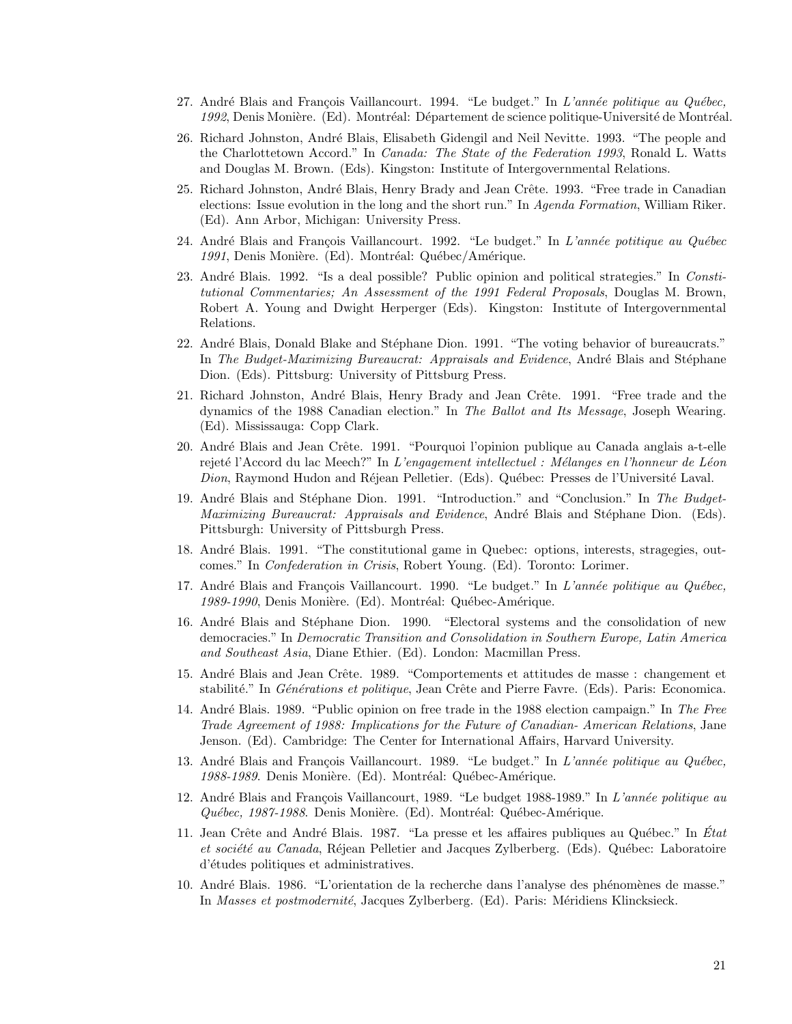- 27. André Blais and François Vaillancourt. 1994. "Le budget." In L'année politique au Québec, 1992, Denis Monière. (Ed). Montréal: Département de science politique-Université de Montréal.
- 26. Richard Johnston, André Blais, Elisabeth Gidengil and Neil Nevitte. 1993. "The people and the Charlottetown Accord." In Canada: The State of the Federation 1993, Ronald L. Watts and Douglas M. Brown. (Eds). Kingston: Institute of Intergovernmental Relations.
- 25. Richard Johnston, André Blais, Henry Brady and Jean Crête. 1993. "Free trade in Canadian elections: Issue evolution in the long and the short run." In Agenda Formation, William Riker. (Ed). Ann Arbor, Michigan: University Press.
- 24. André Blais and François Vaillancourt. 1992. "Le budget." In L'année potitique au Québec 1991, Denis Monière. (Ed). Montréal: Québec/Amérique.
- 23. André Blais. 1992. "Is a deal possible? Public opinion and political strategies." In Constitutional Commentaries; An Assessment of the 1991 Federal Proposals, Douglas M. Brown, Robert A. Young and Dwight Herperger (Eds). Kingston: Institute of Intergovernmental Relations.
- 22. André Blais, Donald Blake and Stéphane Dion. 1991. "The voting behavior of bureaucrats." In The Budget-Maximizing Bureaucrat: Appraisals and Evidence, André Blais and Stéphane Dion. (Eds). Pittsburg: University of Pittsburg Press.
- 21. Richard Johnston, André Blais, Henry Brady and Jean Crête. 1991. "Free trade and the dynamics of the 1988 Canadian election." In The Ballot and Its Message, Joseph Wearing. (Ed). Mississauga: Copp Clark.
- 20. André Blais and Jean Crête. 1991. "Pourquoi l'opinion publique au Canada anglais a-t-elle rejeté l'Accord du lac Meech?" In L'engagement intellectuel : Mélanges en l'honneur de Léon Dion, Raymond Hudon and Réjean Pelletier. (Eds). Québec: Presses de l'Université Laval.
- 19. André Blais and Stéphane Dion. 1991. "Introduction." and "Conclusion." In The Budget-Maximizing Bureaucrat: Appraisals and Evidence, André Blais and Stéphane Dion. (Eds). Pittsburgh: University of Pittsburgh Press.
- 18. Andr´e Blais. 1991. "The constitutional game in Quebec: options, interests, stragegies, outcomes." In Confederation in Crisis, Robert Young. (Ed). Toronto: Lorimer.
- 17. André Blais and François Vaillancourt. 1990. "Le budget." In L'année politique au Québec, 1989-1990, Denis Monière. (Ed). Montréal: Québec-Amérique.
- 16. André Blais and Stéphane Dion. 1990. "Electoral systems and the consolidation of new democracies." In Democratic Transition and Consolidation in Southern Europe, Latin America and Southeast Asia, Diane Ethier. (Ed). London: Macmillan Press.
- 15. André Blais and Jean Crête. 1989. "Comportements et attitudes de masse : changement et stabilité." In Générations et politique, Jean Crête and Pierre Favre. (Eds). Paris: Economica.
- 14. André Blais. 1989. "Public opinion on free trade in the 1988 election campaign." In The Free Trade Agreement of 1988: Implications for the Future of Canadian- American Relations, Jane Jenson. (Ed). Cambridge: The Center for International Affairs, Harvard University.
- 13. André Blais and François Vaillancourt. 1989. "Le budget." In L'année politique au Québec, 1988-1989. Denis Monière. (Ed). Montréal: Québec-Amérique.
- 12. André Blais and François Vaillancourt, 1989. "Le budget 1988-1989." In L'année politique au Québec, 1987-1988. Denis Monière. (Ed). Montréal: Québec-Amérique.
- 11. Jean Crête and André Blais. 1987. "La presse et les affaires publiques au Québec." In État et société au Canada, Réjean Pelletier and Jacques Zylberberg. (Eds). Québec: Laboratoire d'études politiques et administratives.
- 10. André Blais. 1986. "L'orientation de la recherche dans l'analyse des phénomènes de masse." In Masses et postmodernité, Jacques Zylberberg. (Ed). Paris: Méridiens Klincksieck.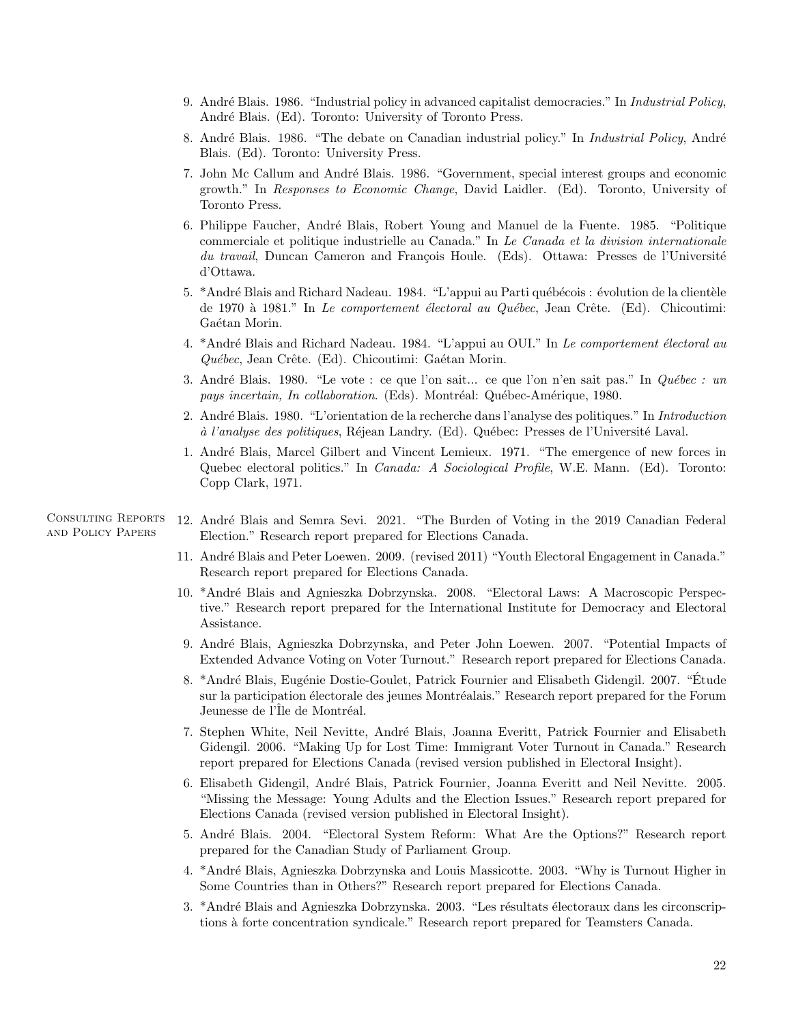- 9. André Blais. 1986. "Industrial policy in advanced capitalist democracies." In *Industrial Policy*, André Blais. (Ed). Toronto: University of Toronto Press.
- 8. André Blais. 1986. "The debate on Canadian industrial policy." In *Industrial Policy*, André Blais. (Ed). Toronto: University Press.
- 7. John Mc Callum and André Blais. 1986. "Government, special interest groups and economic growth." In Responses to Economic Change, David Laidler. (Ed). Toronto, University of Toronto Press.
- 6. Philippe Faucher, André Blais, Robert Young and Manuel de la Fuente. 1985. "Politique commerciale et politique industrielle au Canada." In Le Canada et la division internationale du travail, Duncan Cameron and François Houle. (Eds). Ottawa: Presses de l'Université d'Ottawa.
- 5. \*André Blais and Richard Nadeau. 1984. "L'appui au Parti québécois : évolution de la clientèle de 1970 à 1981." In Le comportement électoral au Québec, Jean Crête. (Ed). Chicoutimi: Gaétan Morin.
- 4. \*André Blais and Richard Nadeau. 1984. "L'appui au OUI." In Le comportement électoral au  $Québec, Jean Crête. (Ed). Chicoutimi: Gaétan Morin.$
- 3. André Blais. 1980. "Le vote : ce que l'on sait... ce que l'on n'en sait pas." In  $Qu\acute{e}bec$  : un pays incertain, In collaboration. (Eds). Montréal: Québec-Amérique, 1980.
- 2. Andr´e Blais. 1980. "L'orientation de la recherche dans l'analyse des politiques." In Introduction à l'analyse des politiques, Réjean Landry. (Ed). Québec: Presses de l'Université Laval.
- 1. Andr´e Blais, Marcel Gilbert and Vincent Lemieux. 1971. "The emergence of new forces in Quebec electoral politics." In *Canada: A Sociological Profile*, W.E. Mann. (Ed). Toronto: Copp Clark, 1971.

Consulting Reports and Policy Papers

- 12. Andr´e Blais and Semra Sevi. 2021. "The Burden of Voting in the 2019 Canadian Federal Election." Research report prepared for Elections Canada.
	- 11. Andr´e Blais and Peter Loewen. 2009. (revised 2011) "Youth Electoral Engagement in Canada." Research report prepared for Elections Canada.
	- 10. \*Andr´e Blais and Agnieszka Dobrzynska. 2008. "Electoral Laws: A Macroscopic Perspective." Research report prepared for the International Institute for Democracy and Electoral Assistance.
	- 9. Andr´e Blais, Agnieszka Dobrzynska, and Peter John Loewen. 2007. "Potential Impacts of Extended Advance Voting on Voter Turnout." Research report prepared for Elections Canada.
	- 8. \*André Blais, Eugénie Dostie-Goulet, Patrick Fournier and Elisabeth Gidengil. 2007. "Étude sur la participation électorale des jeunes Montréalais." Research report prepared for the Forum Jeunesse de l'Île de Montréal.
	- 7. Stephen White, Neil Nevitte, André Blais, Joanna Everitt, Patrick Fournier and Elisabeth Gidengil. 2006. "Making Up for Lost Time: Immigrant Voter Turnout in Canada." Research report prepared for Elections Canada (revised version published in Electoral Insight).
	- 6. Elisabeth Gidengil, André Blais, Patrick Fournier, Joanna Everitt and Neil Nevitte. 2005. "Missing the Message: Young Adults and the Election Issues." Research report prepared for Elections Canada (revised version published in Electoral Insight).
	- 5. Andr´e Blais. 2004. "Electoral System Reform: What Are the Options?" Research report prepared for the Canadian Study of Parliament Group.
	- 4. \*Andr´e Blais, Agnieszka Dobrzynska and Louis Massicotte. 2003. "Why is Turnout Higher in Some Countries than in Others?" Research report prepared for Elections Canada.
	- 3. \*André Blais and Agnieszka Dobrzynska. 2003. "Les résultats électoraux dans les circonscriptions à forte concentration syndicale." Research report prepared for Teamsters Canada.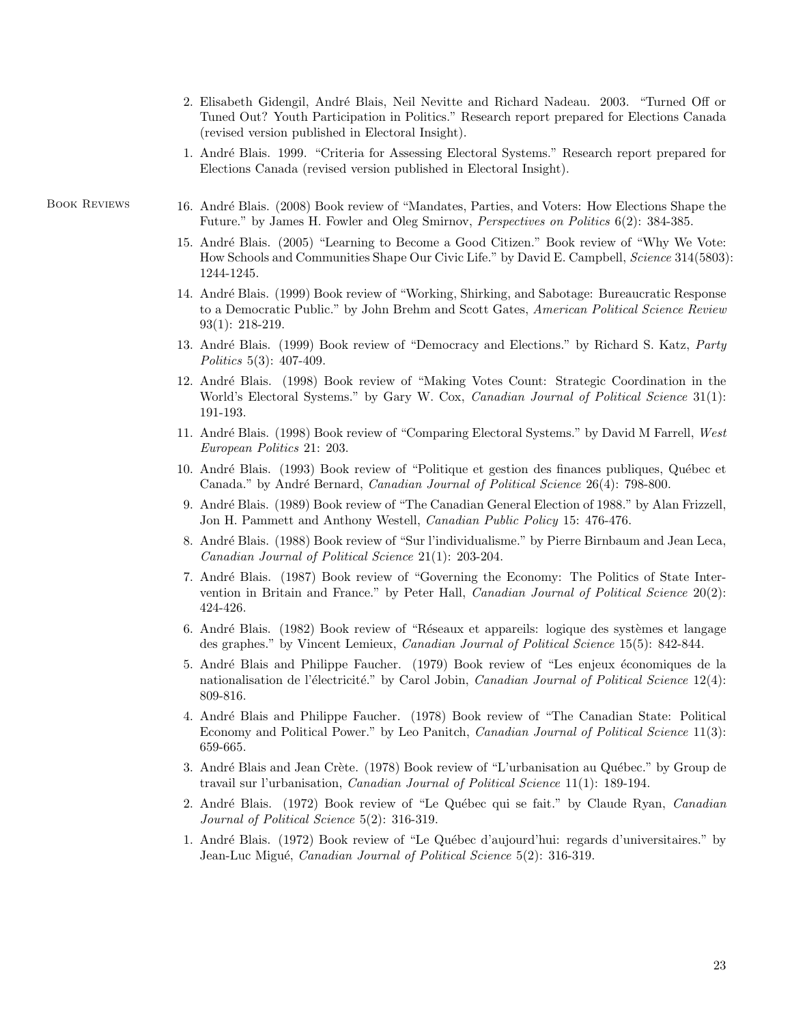- 2. Elisabeth Gidengil, André Blais, Neil Nevitte and Richard Nadeau. 2003. "Turned Off or Tuned Out? Youth Participation in Politics." Research report prepared for Elections Canada (revised version published in Electoral Insight).
- 1. Andr´e Blais. 1999. "Criteria for Assessing Electoral Systems." Research report prepared for Elections Canada (revised version published in Electoral Insight).

- BOOK REVIEWS 16. André Blais. (2008) Book review of "Mandates, Parties, and Voters: How Elections Shape the Future." by James H. Fowler and Oleg Smirnov, Perspectives on Politics 6(2): 384-385.
	- 15. Andr´e Blais. (2005) "Learning to Become a Good Citizen." Book review of "Why We Vote: How Schools and Communities Shape Our Civic Life." by David E. Campbell, Science 314(5803): 1244-1245.
	- 14. Andr´e Blais. (1999) Book review of "Working, Shirking, and Sabotage: Bureaucratic Response to a Democratic Public." by John Brehm and Scott Gates, American Political Science Review 93(1): 218-219.
	- 13. André Blais. (1999) Book review of "Democracy and Elections." by Richard S. Katz, *Party* Politics 5(3): 407-409.
	- 12. Andr´e Blais. (1998) Book review of "Making Votes Count: Strategic Coordination in the World's Electoral Systems." by Gary W. Cox, *Canadian Journal of Political Science* 31(1): 191-193.
	- 11. André Blais. (1998) Book review of "Comparing Electoral Systems." by David M Farrell, West European Politics 21: 203.
	- 10. André Blais. (1993) Book review of "Politique et gestion des finances publiques, Québec et Canada." by André Bernard, Canadian Journal of Political Science 26(4): 798-800.
	- 9. Andr´e Blais. (1989) Book review of "The Canadian General Election of 1988." by Alan Frizzell, Jon H. Pammett and Anthony Westell, Canadian Public Policy 15: 476-476.
	- 8. André Blais. (1988) Book review of "Sur l'individualisme." by Pierre Birnbaum and Jean Leca, Canadian Journal of Political Science 21(1): 203-204.
	- 7. Andr´e Blais. (1987) Book review of "Governing the Economy: The Politics of State Intervention in Britain and France." by Peter Hall, Canadian Journal of Political Science 20(2): 424-426.
	- 6. André Blais. (1982) Book review of "Réseaux et appareils: logique des systèmes et langage des graphes." by Vincent Lemieux, Canadian Journal of Political Science 15(5): 842-844.
	- 5. André Blais and Philippe Faucher. (1979) Book review of "Les enjeux économiques de la nationalisation de l'électricité." by Carol Jobin, Canadian Journal of Political Science  $12(4)$ : 809-816.
	- 4. Andr´e Blais and Philippe Faucher. (1978) Book review of "The Canadian State: Political Economy and Political Power." by Leo Panitch, Canadian Journal of Political Science 11(3): 659-665.
	- 3. André Blais and Jean Crète. (1978) Book review of "L'urbanisation au Québec." by Group de travail sur l'urbanisation, Canadian Journal of Political Science 11(1): 189-194.
	- 2. André Blais. (1972) Book review of "Le Québec qui se fait." by Claude Ryan, Canadian Journal of Political Science 5(2): 316-319.
	- 1. Andr´e Blais. (1972) Book review of "Le Qu´ebec d'aujourd'hui: regards d'universitaires." by Jean-Luc Migué, *Canadian Journal of Political Science* 5(2): 316-319.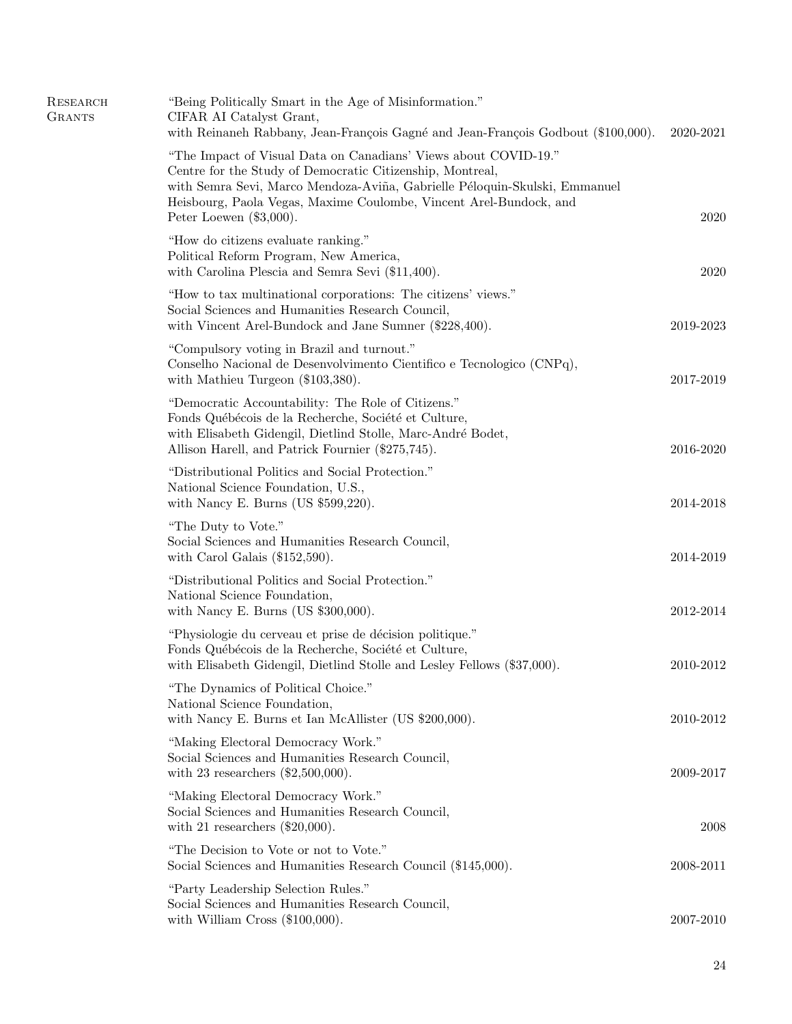| RESEARCH<br><b>GRANTS</b> | "Being Politically Smart in the Age of Misinformation."<br>CIFAR AI Catalyst Grant,<br>with Reinaneh Rabbany, Jean-François Gagné and Jean-François Godbout (\$100,000).                                                                                                                                       | 2020-2021 |
|---------------------------|----------------------------------------------------------------------------------------------------------------------------------------------------------------------------------------------------------------------------------------------------------------------------------------------------------------|-----------|
|                           | "The Impact of Visual Data on Canadians' Views about COVID-19."<br>Centre for the Study of Democratic Citizenship, Montreal,<br>with Semra Sevi, Marco Mendoza-Aviña, Gabrielle Péloquin-Skulski, Emmanuel<br>Heisbourg, Paola Vegas, Maxime Coulombe, Vincent Arel-Bundock, and<br>Peter Loewen $(\$3,000)$ . | 2020      |
|                           | "How do citizens evaluate ranking."<br>Political Reform Program, New America,<br>with Carolina Plescia and Semra Sevi (\$11,400).                                                                                                                                                                              | 2020      |
|                           | "How to tax multinational corporations: The citizens' views."<br>Social Sciences and Humanities Research Council,<br>with Vincent Arel-Bundock and Jane Sumner (\$228,400).                                                                                                                                    | 2019-2023 |
|                           | "Compulsory voting in Brazil and turnout."<br>Conselho Nacional de Desenvolvimento Científico e Tecnologico (CNPq),<br>with Mathieu Turgeon (\$103,380).                                                                                                                                                       | 2017-2019 |
|                           | "Democratic Accountability: The Role of Citizens."<br>Fonds Québécois de la Recherche, Société et Culture,<br>with Elisabeth Gidengil, Dietlind Stolle, Marc-André Bodet,<br>Allison Harell, and Patrick Fournier (\$275,745).                                                                                 | 2016-2020 |
|                           | "Distributional Politics and Social Protection."<br>National Science Foundation, U.S.,<br>with Nancy E. Burns (US $$599,220$ ).                                                                                                                                                                                | 2014-2018 |
|                           | "The Duty to Vote."<br>Social Sciences and Humanities Research Council,<br>with Carol Galais $(\$152,590)$ .                                                                                                                                                                                                   | 2014-2019 |
|                           | "Distributional Politics and Social Protection."<br>National Science Foundation,<br>with Nancy E. Burns (US $$300,000$ ).                                                                                                                                                                                      | 2012-2014 |
|                           | "Physiologie du cerveau et prise de décision politique."<br>Fonds Québécois de la Recherche, Société et Culture,<br>with Elisabeth Gidengil, Dietlind Stolle and Lesley Fellows (\$37,000).                                                                                                                    | 2010-2012 |
|                           | "The Dynamics of Political Choice."<br>National Science Foundation,<br>with Nancy E. Burns et Ian McAllister (US \$200,000).                                                                                                                                                                                   | 2010-2012 |
|                           | "Making Electoral Democracy Work."<br>Social Sciences and Humanities Research Council,<br>with 23 researchers $(\$2,500,000)$ .                                                                                                                                                                                | 2009-2017 |
|                           | "Making Electoral Democracy Work."<br>Social Sciences and Humanities Research Council,<br>with 21 researchers $(\$20,000)$ .                                                                                                                                                                                   | 2008      |
|                           | "The Decision to Vote or not to Vote."<br>Social Sciences and Humanities Research Council (\$145,000).                                                                                                                                                                                                         | 2008-2011 |
|                           | "Party Leadership Selection Rules."<br>Social Sciences and Humanities Research Council,<br>with William Cross $(\$100,000)$ .                                                                                                                                                                                  | 2007-2010 |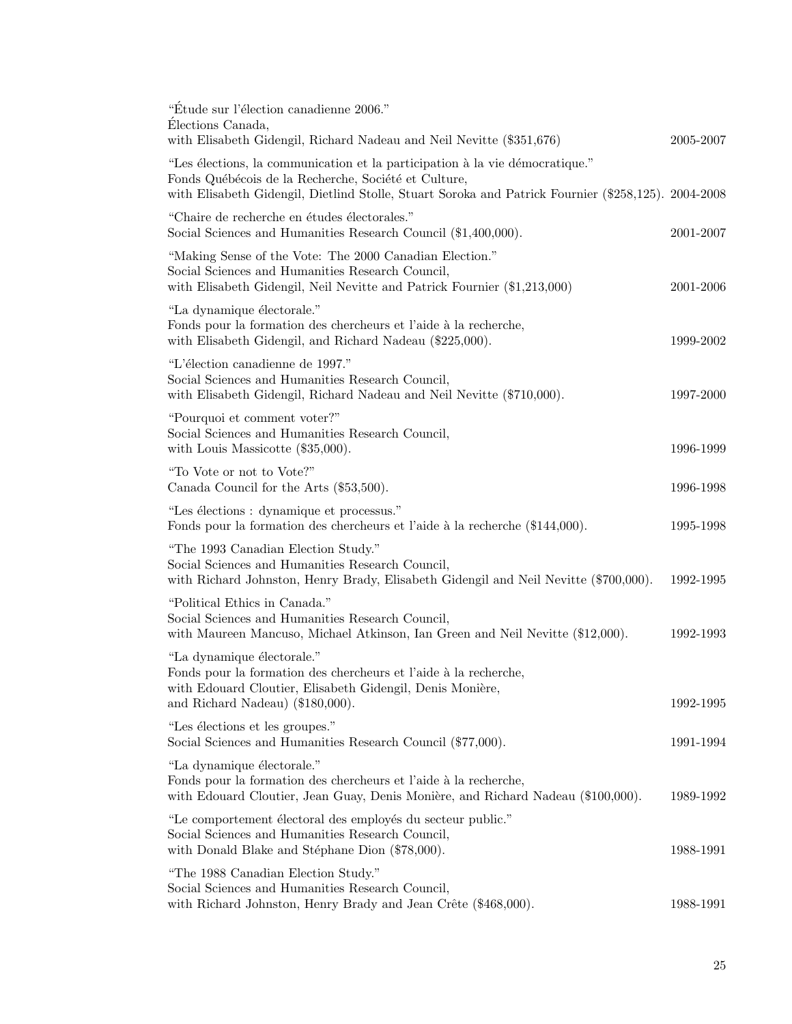| "Étude sur l'élection canadienne 2006."<br>Élections Canada,<br>with Elisabeth Gidengil, Richard Nadeau and Neil Nevitte (\$351,676)                                                                                                        | 2005-2007 |
|---------------------------------------------------------------------------------------------------------------------------------------------------------------------------------------------------------------------------------------------|-----------|
| "Les élections, la communication et la participation à la vie démocratique."<br>Fonds Québécois de la Recherche, Société et Culture,<br>with Elisabeth Gidengil, Dietlind Stolle, Stuart Soroka and Patrick Fournier (\$258,125). 2004-2008 |           |
| "Chaire de recherche en études électorales."<br>Social Sciences and Humanities Research Council (\$1,400,000).                                                                                                                              | 2001-2007 |
| "Making Sense of the Vote: The 2000 Canadian Election."<br>Social Sciences and Humanities Research Council,<br>with Elisabeth Gidengil, Neil Nevitte and Patrick Fournier (\$1,213,000)                                                     | 2001-2006 |
| "La dynamique électorale."<br>Fonds pour la formation des chercheurs et l'aide à la recherche,<br>with Elisabeth Gidengil, and Richard Nadeau (\$225,000).                                                                                  | 1999-2002 |
| "L'élection canadienne de 1997."<br>Social Sciences and Humanities Research Council,<br>with Elisabeth Gidengil, Richard Nadeau and Neil Nevitte (\$710,000).                                                                               | 1997-2000 |
| "Pourquoi et comment voter?"<br>Social Sciences and Humanities Research Council,<br>with Louis Massicotte $(\$35,000)$ .                                                                                                                    | 1996-1999 |
| "To Vote or not to Vote?"<br>Canada Council for the Arts (\$53,500).                                                                                                                                                                        | 1996-1998 |
| "Les élections : dynamique et processus."<br>Fonds pour la formation des chercheurs et l'aide à la recherche (\$144,000).                                                                                                                   | 1995-1998 |
| "The 1993 Canadian Election Study."<br>Social Sciences and Humanities Research Council,<br>with Richard Johnston, Henry Brady, Elisabeth Gidengil and Neil Nevitte (\$700,000).                                                             | 1992-1995 |
| "Political Ethics in Canada."<br>Social Sciences and Humanities Research Council,<br>with Maureen Mancuso, Michael Atkinson, Ian Green and Neil Nevitte (\$12,000).                                                                         | 1992-1993 |
| "La dynamique électorale."<br>Fonds pour la formation des chercheurs et l'aide à la recherche,<br>with Edouard Cloutier, Elisabeth Gidengil, Denis Monière,                                                                                 |           |
| and Richard Nadeau) (\$180,000).<br>"Les élections et les groupes."                                                                                                                                                                         | 1992-1995 |
| Social Sciences and Humanities Research Council (\$77,000).                                                                                                                                                                                 | 1991-1994 |
| "La dynamique électorale."<br>Fonds pour la formation des chercheurs et l'aide à la recherche,<br>with Edouard Cloutier, Jean Guay, Denis Monière, and Richard Nadeau (\$100,000).                                                          | 1989-1992 |
| "Le comportement électoral des employés du secteur public."<br>Social Sciences and Humanities Research Council,<br>with Donald Blake and Stéphane Dion (\$78,000).                                                                          | 1988-1991 |
| "The 1988 Canadian Election Study."<br>Social Sciences and Humanities Research Council,<br>with Richard Johnston, Henry Brady and Jean Crête (\$468,000).                                                                                   | 1988-1991 |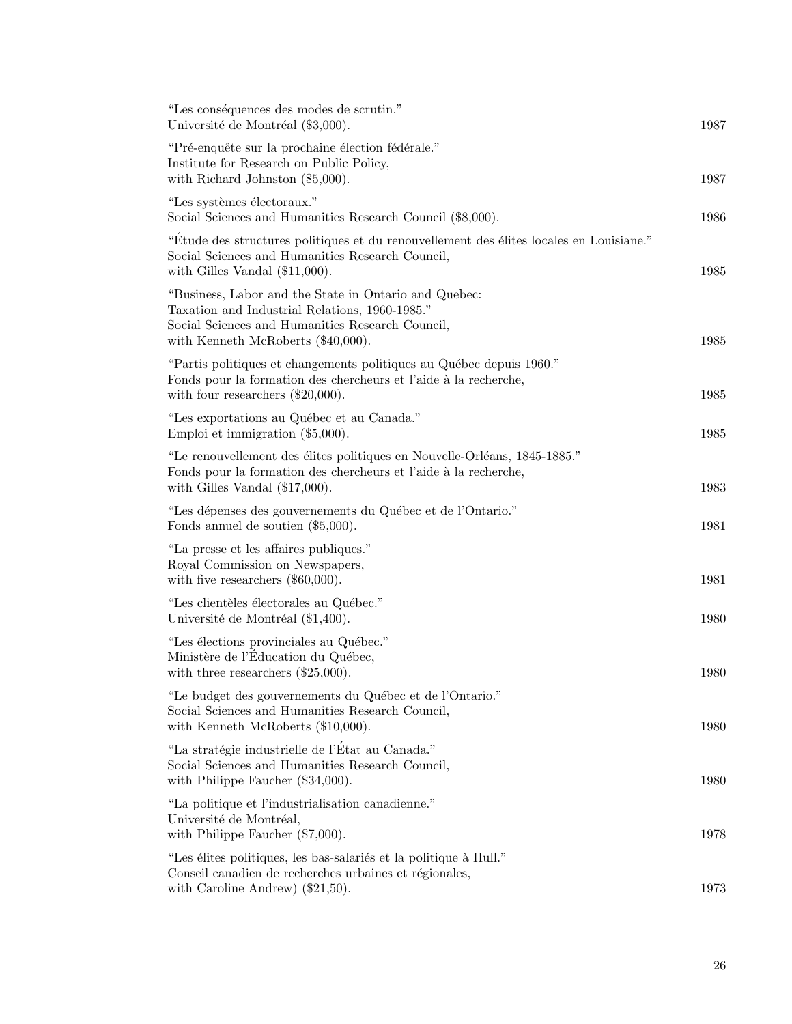| "Les conséquences des modes de scrutin."<br>Université de Montréal (\$3,000).                                                                                                                        | 1987 |
|------------------------------------------------------------------------------------------------------------------------------------------------------------------------------------------------------|------|
| "Pré-enquête sur la prochaine élection fédérale."<br>Institute for Research on Public Policy,<br>with Richard Johnston $(\$5,000)$ .                                                                 | 1987 |
| "Les systèmes électoraux."<br>Social Sciences and Humanities Research Council (\$8,000).                                                                                                             | 1986 |
| "Etude des structures politiques et du renouvellement des élites locales en Louisiane."<br>Social Sciences and Humanities Research Council,<br>with Gilles Vandal $(\$11,000)$ .                     | 1985 |
| "Business, Labor and the State in Ontario and Quebec:<br>Taxation and Industrial Relations, 1960-1985."<br>Social Sciences and Humanities Research Council,<br>with Kenneth McRoberts $(\$40,000)$ . | 1985 |
| "Partis politiques et changements politiques au Québec depuis 1960."<br>Fonds pour la formation des chercheurs et l'aide à la recherche,<br>with four researchers $(\$20,000)$ .                     | 1985 |
| "Les exportations au Québec et au Canada."<br>Emploi et immigration $(\$5,000)$ .                                                                                                                    | 1985 |
| "Le renouvellement des élites politiques en Nouvelle-Orléans, 1845-1885."<br>Fonds pour la formation des chercheurs et l'aide à la recherche,<br>with Gilles Vandal $(\$17,000)$ .                   | 1983 |
| "Les dépenses des gouvernements du Québec et de l'Ontario."<br>Fonds annuel de soutien $(\$5,000)$ .                                                                                                 | 1981 |
| "La presse et les affaires publiques."<br>Royal Commission on Newspapers,<br>with five researchers $(\$60,000)$ .                                                                                    | 1981 |
| "Les clientèles électorales au Québec."<br>Université de Montréal (\$1,400).                                                                                                                         | 1980 |
| "Les élections provinciales au Québec."<br>Ministère de l'Education du Québec,<br>with three researchers $(\$25,000)$ .                                                                              | 1980 |
| "Le budget des gouvernements du Québec et de l'Ontario."<br>Social Sciences and Humanities Research Council,<br>with Kenneth McRoberts (\$10,000).                                                   | 1980 |
| "La stratégie industrielle de l'État au Canada."<br>Social Sciences and Humanities Research Council,<br>with Philippe Faucher $(\$34,000)$ .                                                         | 1980 |
| "La politique et l'industrialisation canadienne."<br>Université de Montréal,<br>with Philippe Faucher $(\$7,000)$ .                                                                                  | 1978 |
| "Les élites politiques, les bas-salariés et la politique à Hull."<br>Conseil canadien de recherches urbaines et régionales,<br>with Caroline Andrew) $(\$21,50)$ .                                   | 1973 |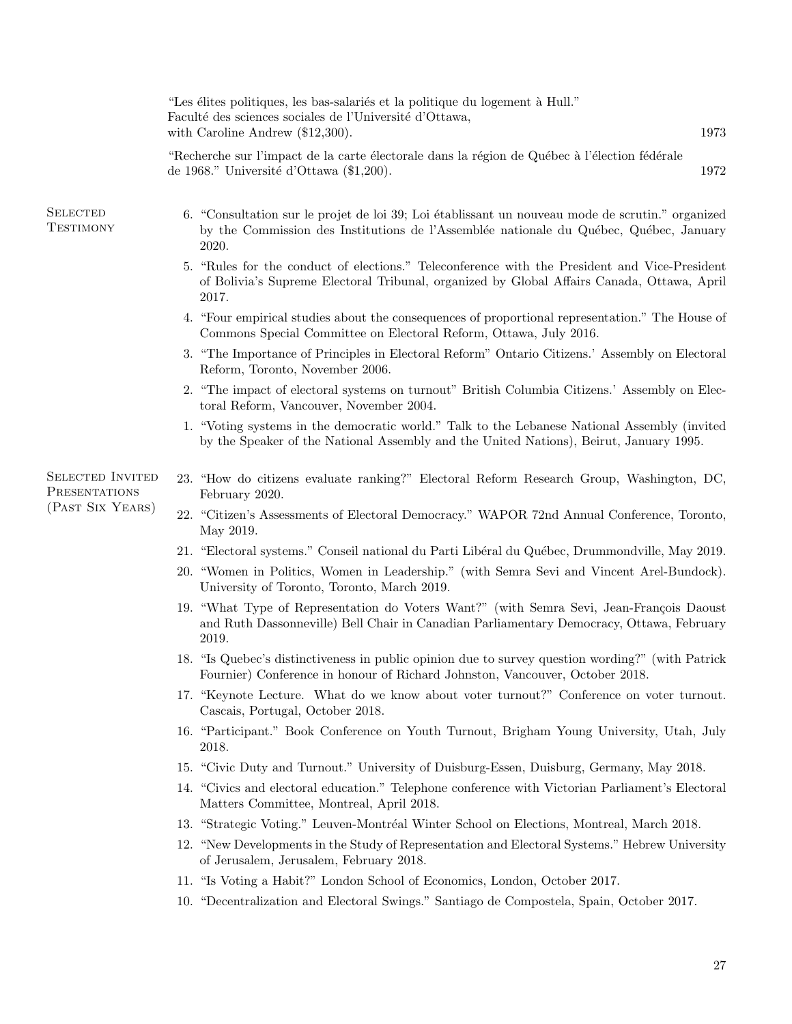|                                          | "Les élites politiques, les bas-salariés et la politique du logement à Hull."<br>Faculté des sciences sociales de l'Université d'Ottawa,<br>1973<br>with Caroline Andrew $(\$12,300)$ .              |
|------------------------------------------|------------------------------------------------------------------------------------------------------------------------------------------------------------------------------------------------------|
|                                          | "Recherche sur l'impact de la carte électorale dans la région de Québec à l'élection fédérale<br>de 1968." Université d'Ottawa (\$1,200).<br>1972                                                    |
| <b>SELECTED</b><br><b>TESTIMONY</b>      | 6. "Consultation sur le projet de loi 39; Loi établissant un nouveau mode de scrutin." organized<br>by the Commission des Institutions de l'Assemblée nationale du Québec, Québec, January<br>2020.  |
|                                          | 5. "Rules for the conduct of elections." Teleconference with the President and Vice-President<br>of Bolivia's Supreme Electoral Tribunal, organized by Global Affairs Canada, Ottawa, April<br>2017. |
|                                          | 4. "Four empirical studies about the consequences of proportional representation." The House of<br>Commons Special Committee on Electoral Reform, Ottawa, July 2016.                                 |
|                                          | 3. "The Importance of Principles in Electoral Reform" Ontario Citizens.' Assembly on Electoral<br>Reform, Toronto, November 2006.                                                                    |
|                                          | 2. "The impact of electoral systems on turnout" British Columbia Citizens.' Assembly on Elec-<br>toral Reform, Vancouver, November 2004.                                                             |
|                                          | 1. "Voting systems in the democratic world." Talk to the Lebanese National Assembly (invited<br>by the Speaker of the National Assembly and the United Nations), Beirut, January 1995.               |
| <b>SELECTED INVITED</b><br>PRESENTATIONS | 23. "How do citizens evaluate ranking?" Electoral Reform Research Group, Washington, DC,<br>February 2020.                                                                                           |
| (PAST SIX YEARS)                         | 22. "Citizen's Assessments of Electoral Democracy." WAPOR 72nd Annual Conference, Toronto,<br>May 2019.                                                                                              |
|                                          | 21. "Electoral systems." Conseil national du Parti Libéral du Québec, Drummondville, May 2019.                                                                                                       |
|                                          | 20. "Women in Politics, Women in Leadership." (with Semra Sevi and Vincent Arel-Bundock).<br>University of Toronto, Toronto, March 2019.                                                             |
|                                          | 19. "What Type of Representation do Voters Want?" (with Semra Sevi, Jean-François Daoust<br>and Ruth Dassonneville) Bell Chair in Canadian Parliamentary Democracy, Ottawa, February<br>2019.        |
|                                          | 18. "Is Quebec's distinctiveness in public opinion due to survey question wording?" (with Patrick<br>Fournier) Conference in honour of Richard Johnston, Vancouver, October 2018.                    |
|                                          | 17. "Keynote Lecture. What do we know about voter turnout?" Conference on voter turnout.<br>Cascais, Portugal, October 2018.                                                                         |
|                                          | 16. "Participant." Book Conference on Youth Turnout, Brigham Young University, Utah, July<br>2018.                                                                                                   |
|                                          | 15. "Civic Duty and Turnout." University of Duisburg-Essen, Duisburg, Germany, May 2018.                                                                                                             |
|                                          | 14. "Civics and electoral education." Telephone conference with Victorian Parliament's Electoral<br>Matters Committee, Montreal, April 2018.                                                         |
|                                          | 13. "Strategic Voting." Leuven-Montréal Winter School on Elections, Montreal, March 2018.                                                                                                            |
|                                          | 12. "New Developments in the Study of Representation and Electoral Systems." Hebrew University<br>of Jerusalem, Jerusalem, February 2018.                                                            |
|                                          | 11. "Is Voting a Habit?" London School of Economics, London, October 2017.                                                                                                                           |
|                                          | 10. "Decentralization and Electoral Swings." Santiago de Compostela, Spain, October 2017.                                                                                                            |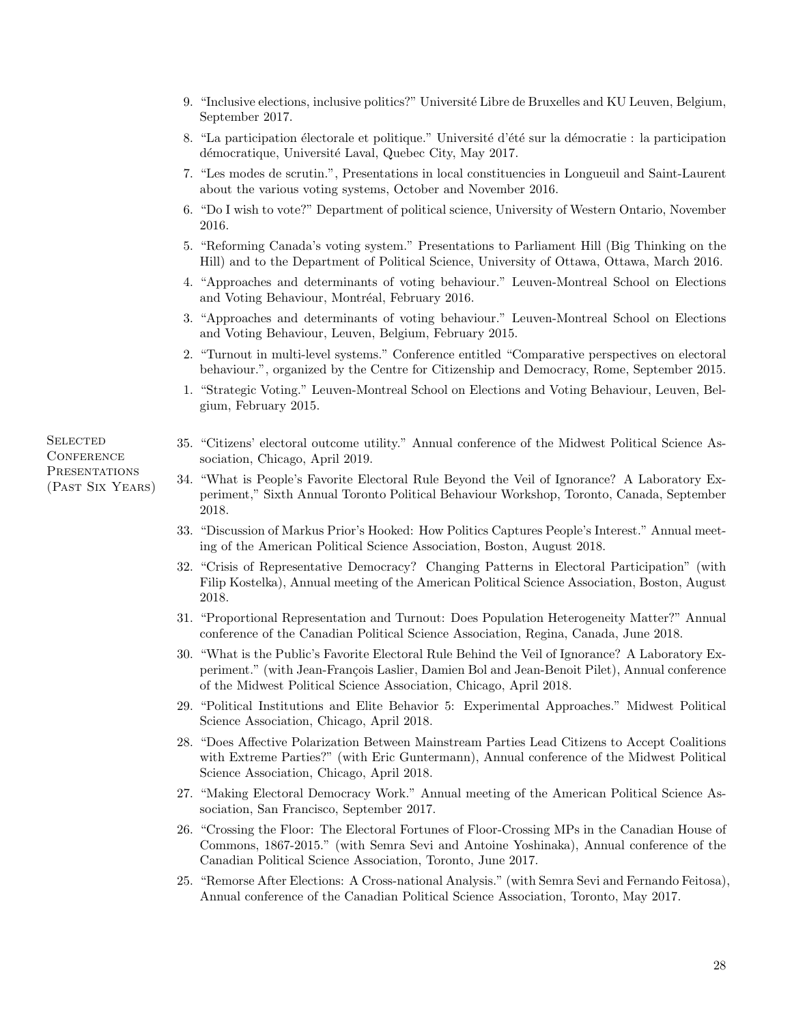- 9. "Inclusive elections, inclusive politics?" Université Libre de Bruxelles and KU Leuven, Belgium, September 2017.
- 8. "La participation électorale et politique." Université d'été sur la démocratie : la participation démocratique, Université Laval, Quebec City, May 2017.
- 7. "Les modes de scrutin.", Presentations in local constituencies in Longueuil and Saint-Laurent about the various voting systems, October and November 2016.
- 6. "Do I wish to vote?" Department of political science, University of Western Ontario, November 2016.
- 5. "Reforming Canada's voting system." Presentations to Parliament Hill (Big Thinking on the Hill) and to the Department of Political Science, University of Ottawa, Ottawa, March 2016.
- 4. "Approaches and determinants of voting behaviour." Leuven-Montreal School on Elections and Voting Behaviour, Montréal, February 2016.
- 3. "Approaches and determinants of voting behaviour." Leuven-Montreal School on Elections and Voting Behaviour, Leuven, Belgium, February 2015.
- 2. "Turnout in multi-level systems." Conference entitled "Comparative perspectives on electoral behaviour.", organized by the Centre for Citizenship and Democracy, Rome, September 2015.
- 1. "Strategic Voting." Leuven-Montreal School on Elections and Voting Behaviour, Leuven, Belgium, February 2015.
- 35. "Citizens' electoral outcome utility." Annual conference of the Midwest Political Science Association, Chicago, April 2019.
- 34. "What is People's Favorite Electoral Rule Beyond the Veil of Ignorance? A Laboratory Experiment," Sixth Annual Toronto Political Behaviour Workshop, Toronto, Canada, September 2018.
- 33. "Discussion of Markus Prior's Hooked: How Politics Captures People's Interest." Annual meeting of the American Political Science Association, Boston, August 2018.
- 32. "Crisis of Representative Democracy? Changing Patterns in Electoral Participation" (with Filip Kostelka), Annual meeting of the American Political Science Association, Boston, August 2018.
- 31. "Proportional Representation and Turnout: Does Population Heterogeneity Matter?" Annual conference of the Canadian Political Science Association, Regina, Canada, June 2018.
- 30. "What is the Public's Favorite Electoral Rule Behind the Veil of Ignorance? A Laboratory Experiment." (with Jean-François Laslier, Damien Bol and Jean-Benoit Pilet), Annual conference of the Midwest Political Science Association, Chicago, April 2018.
- 29. "Political Institutions and Elite Behavior 5: Experimental Approaches." Midwest Political Science Association, Chicago, April 2018.
- 28. "Does Affective Polarization Between Mainstream Parties Lead Citizens to Accept Coalitions with Extreme Parties?" (with Eric Guntermann), Annual conference of the Midwest Political Science Association, Chicago, April 2018.
- 27. "Making Electoral Democracy Work." Annual meeting of the American Political Science Association, San Francisco, September 2017.
- 26. "Crossing the Floor: The Electoral Fortunes of Floor-Crossing MPs in the Canadian House of Commons, 1867-2015." (with Semra Sevi and Antoine Yoshinaka), Annual conference of the Canadian Political Science Association, Toronto, June 2017.
- 25. "Remorse After Elections: A Cross-national Analysis." (with Semra Sevi and Fernando Feitosa), Annual conference of the Canadian Political Science Association, Toronto, May 2017.

**SELECTED CONFERENCE PRESENTATIONS** (Past Six Years)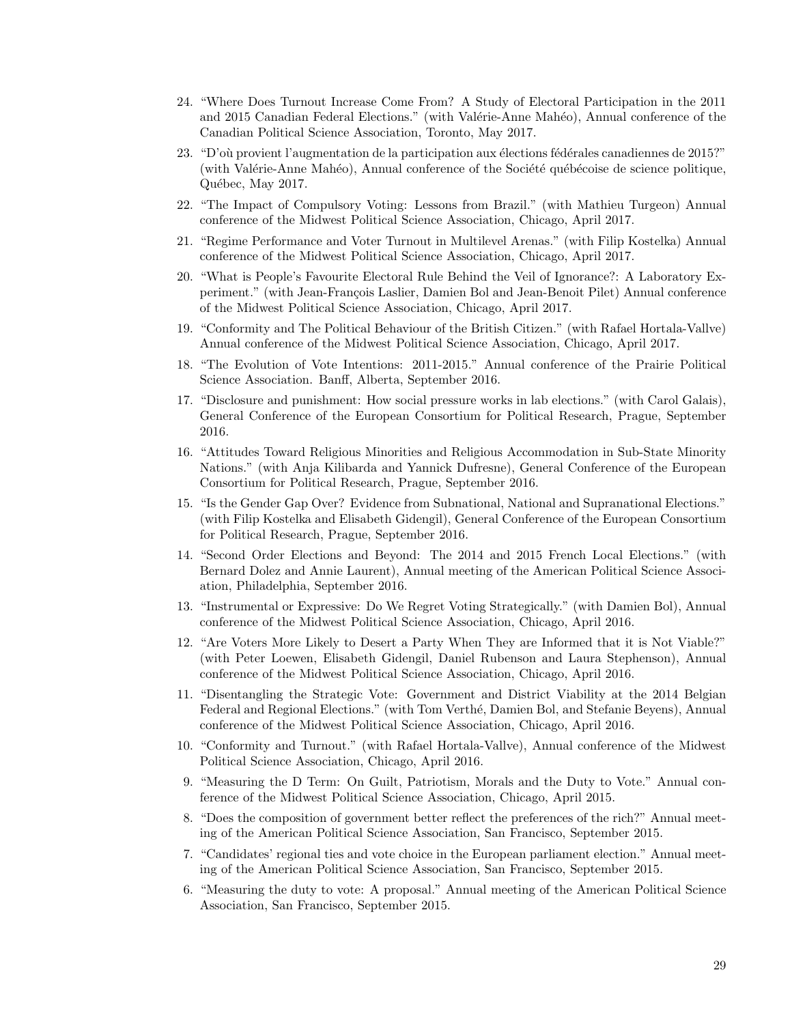- 24. "Where Does Turnout Increase Come From? A Study of Electoral Participation in the 2011 and 2015 Canadian Federal Elections." (with Valérie-Anne Mahéo), Annual conference of the Canadian Political Science Association, Toronto, May 2017.
- 23. "D'où provient l'augmentation de la participation aux élections fédérales canadiennes de 2015?" (with Valérie-Anne Mahéo), Annual conference of the Société québécoise de science politique, Québec, May 2017.
- 22. "The Impact of Compulsory Voting: Lessons from Brazil." (with Mathieu Turgeon) Annual conference of the Midwest Political Science Association, Chicago, April 2017.
- 21. "Regime Performance and Voter Turnout in Multilevel Arenas." (with Filip Kostelka) Annual conference of the Midwest Political Science Association, Chicago, April 2017.
- 20. "What is People's Favourite Electoral Rule Behind the Veil of Ignorance?: A Laboratory Experiment." (with Jean-François Laslier, Damien Bol and Jean-Benoit Pilet) Annual conference of the Midwest Political Science Association, Chicago, April 2017.
- 19. "Conformity and The Political Behaviour of the British Citizen." (with Rafael Hortala-Vallve) Annual conference of the Midwest Political Science Association, Chicago, April 2017.
- 18. "The Evolution of Vote Intentions: 2011-2015." Annual conference of the Prairie Political Science Association. Banff, Alberta, September 2016.
- 17. "Disclosure and punishment: How social pressure works in lab elections." (with Carol Galais), General Conference of the European Consortium for Political Research, Prague, September 2016.
- 16. "Attitudes Toward Religious Minorities and Religious Accommodation in Sub-State Minority Nations." (with Anja Kilibarda and Yannick Dufresne), General Conference of the European Consortium for Political Research, Prague, September 2016.
- 15. "Is the Gender Gap Over? Evidence from Subnational, National and Supranational Elections." (with Filip Kostelka and Elisabeth Gidengil), General Conference of the European Consortium for Political Research, Prague, September 2016.
- 14. "Second Order Elections and Beyond: The 2014 and 2015 French Local Elections." (with Bernard Dolez and Annie Laurent), Annual meeting of the American Political Science Association, Philadelphia, September 2016.
- 13. "Instrumental or Expressive: Do We Regret Voting Strategically." (with Damien Bol), Annual conference of the Midwest Political Science Association, Chicago, April 2016.
- 12. "Are Voters More Likely to Desert a Party When They are Informed that it is Not Viable?" (with Peter Loewen, Elisabeth Gidengil, Daniel Rubenson and Laura Stephenson), Annual conference of the Midwest Political Science Association, Chicago, April 2016.
- 11. "Disentangling the Strategic Vote: Government and District Viability at the 2014 Belgian Federal and Regional Elections." (with Tom Verthé, Damien Bol, and Stefanie Beyens), Annual conference of the Midwest Political Science Association, Chicago, April 2016.
- 10. "Conformity and Turnout." (with Rafael Hortala-Vallve), Annual conference of the Midwest Political Science Association, Chicago, April 2016.
- 9. "Measuring the D Term: On Guilt, Patriotism, Morals and the Duty to Vote." Annual conference of the Midwest Political Science Association, Chicago, April 2015.
- 8. "Does the composition of government better reflect the preferences of the rich?" Annual meeting of the American Political Science Association, San Francisco, September 2015.
- 7. "Candidates' regional ties and vote choice in the European parliament election." Annual meeting of the American Political Science Association, San Francisco, September 2015.
- 6. "Measuring the duty to vote: A proposal." Annual meeting of the American Political Science Association, San Francisco, September 2015.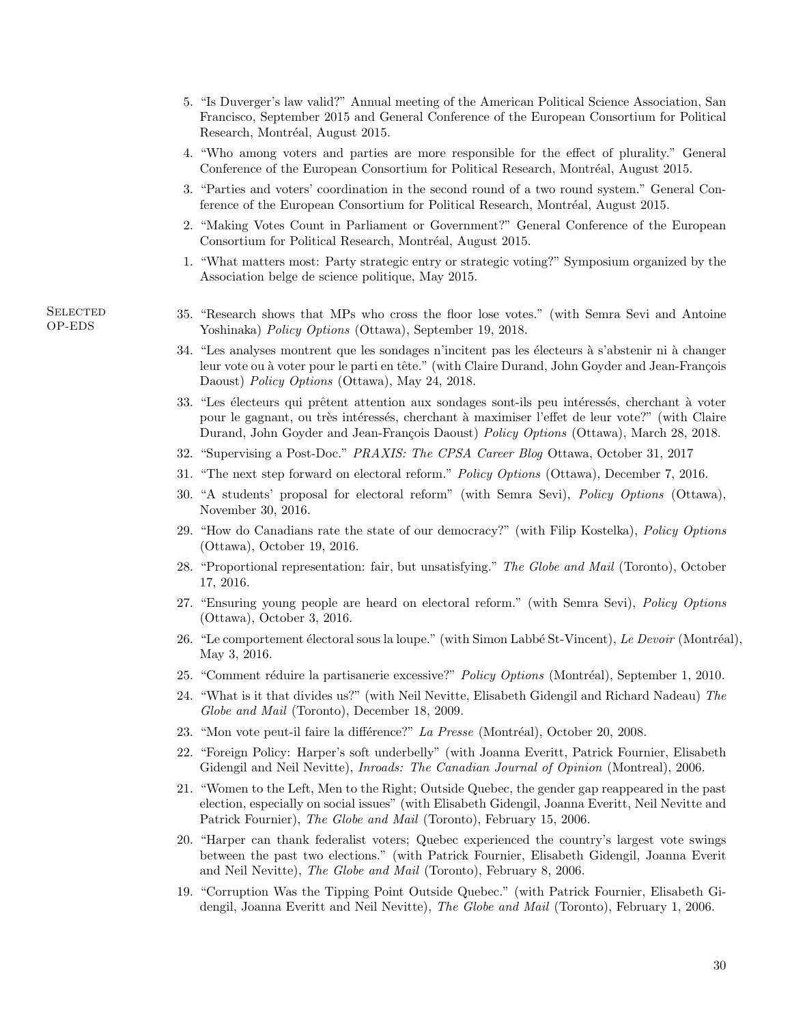- 5. "Is Duverger's law valid?" Annual meeting of the American Political Science Association, San Francisco, September 2015 and General Conference of the European Consortium for Political Research, Montréal, August 2015.
- 4. "Who among voters and parties are more responsible for the effect of plurality." General Conference of the European Consortium for Political Research, Montréal, August 2015.
- 3. "Parties and voters' coordination in the second round of a two round system." General Conference of the European Consortium for Political Research, Montréal, August 2015.
- 2. "Making Votes Count in Parliament or Government?" General Conference of the European Consortium for Political Research, Montréal, August 2015.
- 1. "What matters most: Party strategic entry or strategic voting?" Symposium organized by the Association belge de science politique, May 2015.
- 35. "Research shows that MPs who cross the floor lose votes." (with Semra Sevi and Antoine Yoshinaka) Policy Options (Ottawa), September 19, 2018.
- 34. "Les analyses montrent que les sondages n'incitent pas les électeurs à s'abstenir ni à changer leur vote ou à voter pour le parti en tête." (with Claire Durand, John Goyder and Jean-François Daoust) Policy Options (Ottawa), May 24, 2018.
- 33. "Les électeurs qui prêtent attention aux sondages sont-ils peu intéressés, cherchant à voter pour le gagnant, ou très intéressés, cherchant à maximiser l'effet de leur vote?" (with Claire Durand, John Goyder and Jean-François Daoust) Policy Options (Ottawa), March 28, 2018.
- 32. "Supervising a Post-Doc." PRAXIS: The CPSA Career Blog Ottawa, October 31, 2017
- 31. "The next step forward on electoral reform." Policy Options (Ottawa), December 7, 2016.
- 30. "A students' proposal for electoral reform" (with Semra Sevi), Policy Options (Ottawa), November 30, 2016.
- 29. "How do Canadians rate the state of our democracy?" (with Filip Kostelka), Policy Options (Ottawa), October 19, 2016.
- 28. "Proportional representation: fair, but unsatisfying." The Globe and Mail (Toronto), October 17, 2016.
- 27. "Ensuring young people are heard on electoral reform." (with Semra Sevi), Policy Options (Ottawa), October 3, 2016.
- 26. "Le comportement électoral sous la loupe." (with Simon Labbé St-Vincent), Le Devoir (Montréal), May 3, 2016.
- 25. "Comment réduire la partisanerie excessive?" Policy Options (Montréal), September 1, 2010.
- 24. "What is it that divides us?" (with Neil Nevitte, Elisabeth Gidengil and Richard Nadeau) The Globe and Mail (Toronto), December 18, 2009.
- 23. "Mon vote peut-il faire la différence?" La Presse (Montréal), October 20, 2008.
- 22. "Foreign Policy: Harper's soft underbelly" (with Joanna Everitt, Patrick Fournier, Elisabeth Gidengil and Neil Nevitte), *Inroads: The Canadian Journal of Opinion* (Montreal), 2006.
- 21. "Women to the Left, Men to the Right; Outside Quebec, the gender gap reappeared in the past election, especially on social issues" (with Elisabeth Gidengil, Joanna Everitt, Neil Nevitte and Patrick Fournier), The Globe and Mail (Toronto), February 15, 2006.
- 20. "Harper can thank federalist voters; Quebec experienced the country's largest vote swings between the past two elections." (with Patrick Fournier, Elisabeth Gidengil, Joanna Everit and Neil Nevitte), The Globe and Mail (Toronto), February 8, 2006.
- 19. "Corruption Was the Tipping Point Outside Quebec." (with Patrick Fournier, Elisabeth Gidengil, Joanna Everitt and Neil Nevitte), The Globe and Mail (Toronto), February 1, 2006.

**SELECTED** OP-EDS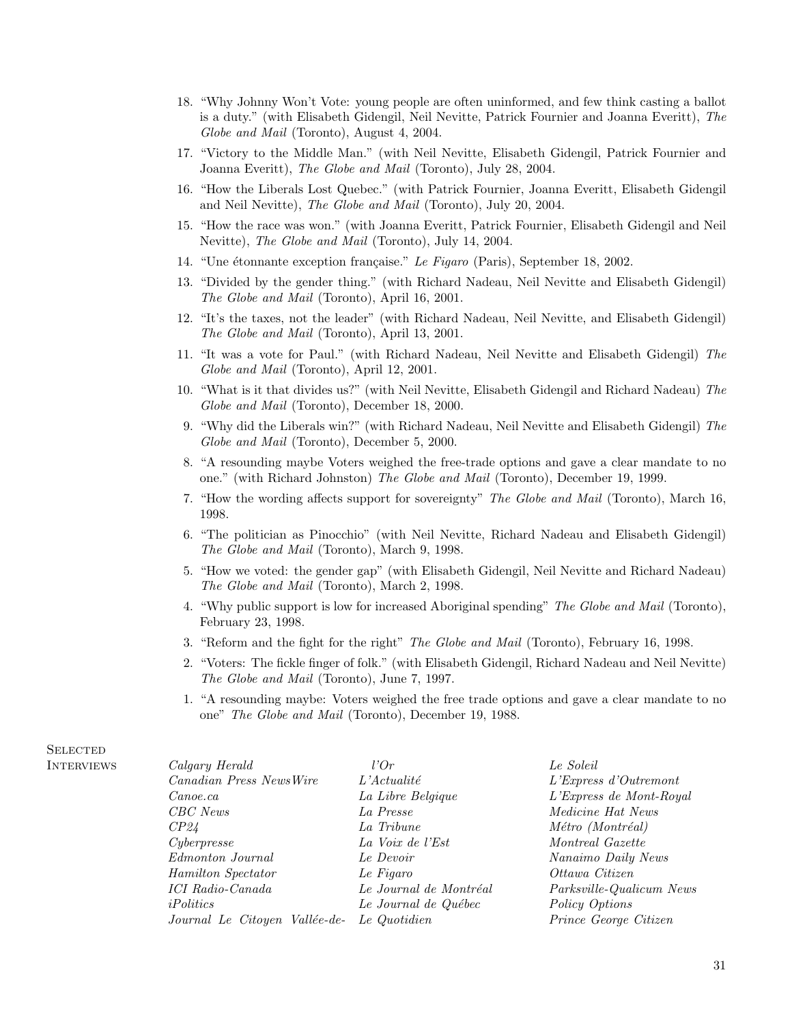- 18. "Why Johnny Won't Vote: young people are often uninformed, and few think casting a ballot is a duty." (with Elisabeth Gidengil, Neil Nevitte, Patrick Fournier and Joanna Everitt), The Globe and Mail (Toronto), August 4, 2004.
- 17. "Victory to the Middle Man." (with Neil Nevitte, Elisabeth Gidengil, Patrick Fournier and Joanna Everitt), The Globe and Mail (Toronto), July 28, 2004.
- 16. "How the Liberals Lost Quebec." (with Patrick Fournier, Joanna Everitt, Elisabeth Gidengil and Neil Nevitte), The Globe and Mail (Toronto), July 20, 2004.
- 15. "How the race was won." (with Joanna Everitt, Patrick Fournier, Elisabeth Gidengil and Neil Nevitte), The Globe and Mail (Toronto), July 14, 2004.
- 14. "Une étonnante exception française." Le Figaro (Paris), September 18, 2002.
- 13. "Divided by the gender thing." (with Richard Nadeau, Neil Nevitte and Elisabeth Gidengil) The Globe and Mail (Toronto), April 16, 2001.
- 12. "It's the taxes, not the leader" (with Richard Nadeau, Neil Nevitte, and Elisabeth Gidengil) The Globe and Mail (Toronto), April 13, 2001.
- 11. "It was a vote for Paul." (with Richard Nadeau, Neil Nevitte and Elisabeth Gidengil) The Globe and Mail (Toronto), April 12, 2001.
- 10. "What is it that divides us?" (with Neil Nevitte, Elisabeth Gidengil and Richard Nadeau) The Globe and Mail (Toronto), December 18, 2000.
- 9. "Why did the Liberals win?" (with Richard Nadeau, Neil Nevitte and Elisabeth Gidengil) The Globe and Mail (Toronto), December 5, 2000.
- 8. "A resounding maybe Voters weighed the free-trade options and gave a clear mandate to no one." (with Richard Johnston) The Globe and Mail (Toronto), December 19, 1999.
- 7. "How the wording affects support for sovereignty" The Globe and Mail (Toronto), March 16, 1998.
- 6. "The politician as Pinocchio" (with Neil Nevitte, Richard Nadeau and Elisabeth Gidengil) The Globe and Mail (Toronto), March 9, 1998.
- 5. "How we voted: the gender gap" (with Elisabeth Gidengil, Neil Nevitte and Richard Nadeau) The Globe and Mail (Toronto), March 2, 1998.
- 4. "Why public support is low for increased Aboriginal spending" The Globe and Mail (Toronto), February 23, 1998.
- 3. "Reform and the fight for the right" The Globe and Mail (Toronto), February 16, 1998.
- 2. "Voters: The fickle finger of folk." (with Elisabeth Gidengil, Richard Nadeau and Neil Nevitte) The Globe and Mail (Toronto), June 7, 1997.
- 1. "A resounding maybe: Voters weighed the free trade options and gave a clear mandate to no one" The Globe and Mail (Toronto), December 19, 1988.

| Calgary Herald                | l'Or                   | Le Soleil                |
|-------------------------------|------------------------|--------------------------|
| Canadian Press NewsWire       | $L'A$ ctualité         | L'Express d'Outremont    |
| Canoe, ca                     | La Libre Belgique      | L'Express de Mont-Royal  |
| CBC News                      | La Presse              | <i>Medicine Hat News</i> |
| CP24                          | La Tribune             | Métro (Montréal)         |
| Cyberpresse                   | La Voix de l'Est       | Montreal Gazette         |
| Edmonton Journal              | Le Devoir              | Nanaimo Daily News       |
| Hamilton Spectator            | Le Figaro              | Ottawa Citizen           |
| <i>ICI Radio-Canada</i>       | Le Journal de Montréal | Parksville-Qualicum News |
| iPolitics                     | Le Journal de Québec   | Policy Options           |
| Journal Le Citoyen Vallée-de- | Le Quotidien           | Prince George Citizen    |

## **SELECTED INTERVIEWS**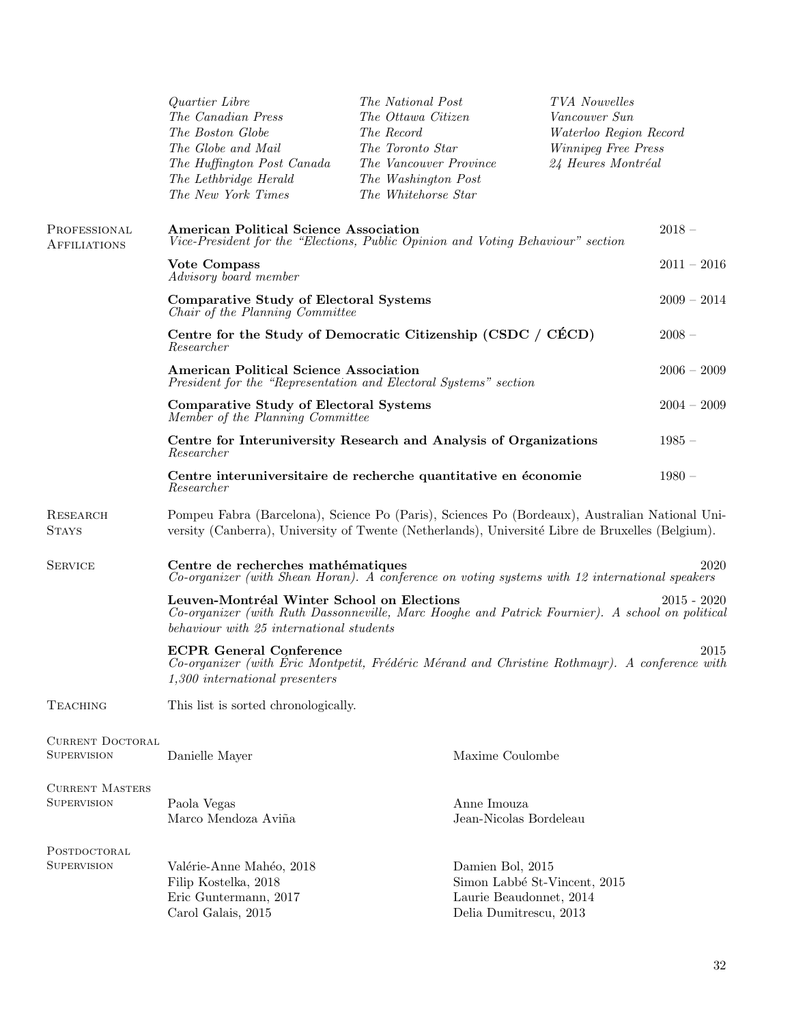|                                              | Quartier Libre<br>The Canadian Press<br>The Boston Globe<br>The Globe and Mail<br>The Huffington Post Canada<br>The Lethbridge Herald<br>The New York Times                                                | The National Post<br>The Ottawa Citizen<br>The Record<br>The Toronto Star<br>The Vancouver Province<br>The Washington Post<br>The Whitehorse Star |                                                                                                       | TVA Nouvelles<br>Vancouver Sun<br>Waterloo Region Record<br>Winnipeg Free Press<br>24 Heures Montréal |               |
|----------------------------------------------|------------------------------------------------------------------------------------------------------------------------------------------------------------------------------------------------------------|---------------------------------------------------------------------------------------------------------------------------------------------------|-------------------------------------------------------------------------------------------------------|-------------------------------------------------------------------------------------------------------|---------------|
| PROFESSIONAL<br><b>AFFILIATIONS</b>          | <b>American Political Science Association</b><br>Vice-President for the "Elections, Public Opinion and Voting Behaviour" section                                                                           |                                                                                                                                                   |                                                                                                       |                                                                                                       | $2018 -$      |
|                                              | Vote Compass<br>Advisory board member                                                                                                                                                                      |                                                                                                                                                   |                                                                                                       |                                                                                                       | $2011 - 2016$ |
|                                              | <b>Comparative Study of Electoral Systems</b><br>Chair of the Planning Committee                                                                                                                           |                                                                                                                                                   |                                                                                                       |                                                                                                       | $2009 - 2014$ |
|                                              | Centre for the Study of Democratic Citizenship (CSDC / CÉCD)<br>Researcher                                                                                                                                 |                                                                                                                                                   |                                                                                                       |                                                                                                       | $2008 -$      |
|                                              | <b>American Political Science Association</b><br>President for the "Representation and Electoral Systems" section                                                                                          |                                                                                                                                                   |                                                                                                       |                                                                                                       | $2006 - 2009$ |
|                                              | <b>Comparative Study of Electoral Systems</b><br>Member of the Planning Committee                                                                                                                          |                                                                                                                                                   |                                                                                                       |                                                                                                       | $2004 - 2009$ |
|                                              | Centre for Interuniversity Research and Analysis of Organizations<br>Researcher                                                                                                                            |                                                                                                                                                   |                                                                                                       |                                                                                                       | $1985 -$      |
|                                              | Centre interuniversitaire de recherche quantitative en économie<br>Researcher                                                                                                                              |                                                                                                                                                   |                                                                                                       |                                                                                                       | $1980 -$      |
| <b>RESEARCH</b><br><b>STAYS</b>              | Pompeu Fabra (Barcelona), Science Po (Paris), Sciences Po (Bordeaux), Australian National Uni-<br>versity (Canberra), University of Twente (Netherlands), Université Libre de Bruxelles (Belgium).         |                                                                                                                                                   |                                                                                                       |                                                                                                       |               |
| <b>SERVICE</b>                               | Centre de recherches mathématiques<br>2020<br>Co-organizer (with Shean Horan). A conference on voting systems with 12 international speakers                                                               |                                                                                                                                                   |                                                                                                       |                                                                                                       |               |
|                                              | Leuven-Montréal Winter School on Elections<br>$2015 - 2020$<br>Co-organizer (with Ruth Dassonneville, Marc Hooghe and Patrick Fournier). A school on political<br>behaviour with 25 international students |                                                                                                                                                   |                                                                                                       |                                                                                                       |               |
|                                              | <b>ECPR</b> General Conference<br>Co-organizer (with Eric Montpetit, Frédéric Mérand and Christine Rothmayr). A conference with<br>1,300 international presenters                                          |                                                                                                                                                   |                                                                                                       |                                                                                                       | 2015          |
| <b>TEACHING</b>                              | This list is sorted chronologically.                                                                                                                                                                       |                                                                                                                                                   |                                                                                                       |                                                                                                       |               |
| <b>CURRENT DOCTORAL</b><br>SUPERVISION       | Danielle Mayer                                                                                                                                                                                             |                                                                                                                                                   | Maxime Coulombe                                                                                       |                                                                                                       |               |
| <b>CURRENT MASTERS</b><br><b>SUPERVISION</b> | Paola Vegas<br>Marco Mendoza Aviña                                                                                                                                                                         |                                                                                                                                                   | Anne Imouza<br>Jean-Nicolas Bordeleau                                                                 |                                                                                                       |               |
| POSTDOCTORAL<br>SUPERVISION                  | Valérie-Anne Mahéo, 2018<br>Filip Kostelka, 2018<br>Eric Guntermann, 2017<br>Carol Galais, 2015                                                                                                            |                                                                                                                                                   | Damien Bol, 2015<br>Simon Labbé St-Vincent, 2015<br>Laurie Beaudonnet, 2014<br>Delia Dumitrescu, 2013 |                                                                                                       |               |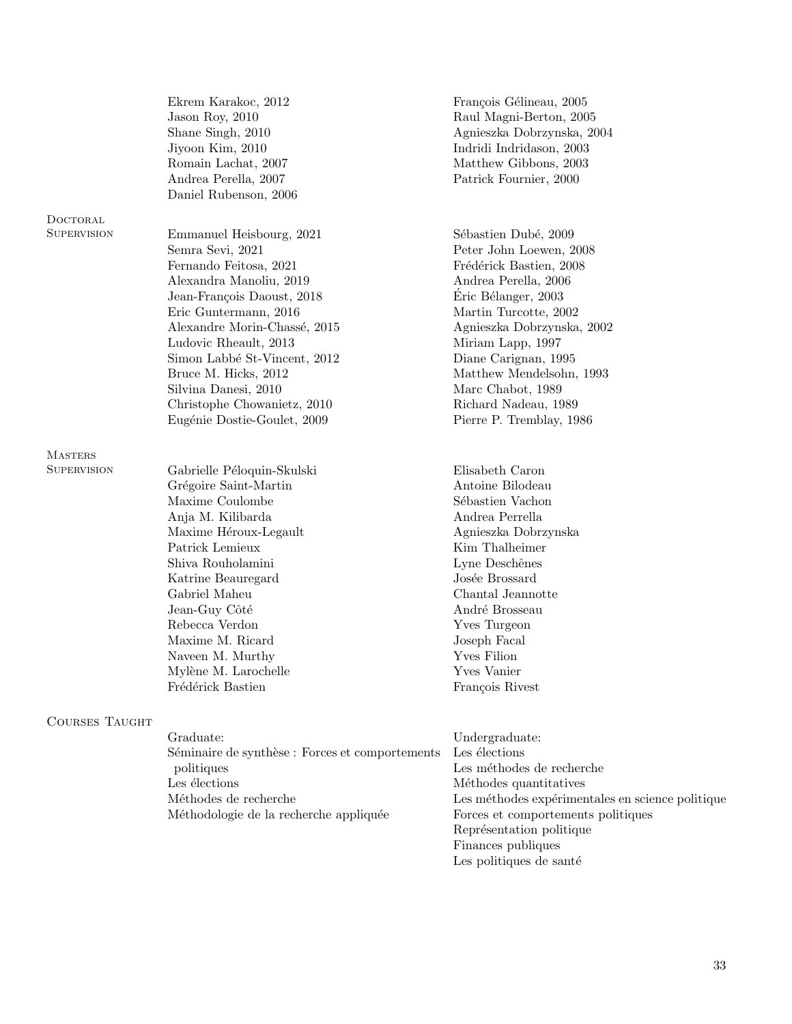|     | Ekrem Karakoc, 2012<br>Jason Roy, 2010<br>Shane Singh, 2010<br>Jiyoon Kim, 2010<br>Romain Lachat, 2007<br>Andrea Perella, 2007<br>Daniel Rubenson, 2006                                                                                                                                                                          | François Gélineau, 2005<br>Raul Magni-Berton, 2005<br>Agnieszka Dobrzynska, 2004<br>Indridi Indridason, 2003<br>Matthew Gibbons, 2003<br>Patrick Fournier, 2000                                                                                                                                        |
|-----|----------------------------------------------------------------------------------------------------------------------------------------------------------------------------------------------------------------------------------------------------------------------------------------------------------------------------------|--------------------------------------------------------------------------------------------------------------------------------------------------------------------------------------------------------------------------------------------------------------------------------------------------------|
|     |                                                                                                                                                                                                                                                                                                                                  |                                                                                                                                                                                                                                                                                                        |
|     | Emmanuel Heisbourg, 2021<br>Semra Sevi, 2021<br>Fernando Feitosa, 2021<br>Alexandra Manoliu, 2019<br>Jean-François Daoust, 2018<br>Eric Guntermann, 2016<br>Alexandre Morin-Chassé, 2015<br>Ludovic Rheault, 2013<br>Simon Labbé St-Vincent, 2012<br>Bruce M. Hicks, 2012<br>Silvina Danesi, 2010<br>Christophe Chowanietz, 2010 | Sébastien Dubé, 2009<br>Peter John Loewen, 2008<br>Frédérick Bastien, 2008<br>Andrea Perella, 2006<br>Éric Bélanger, 2003<br>Martin Turcotte, 2002<br>Agnieszka Dobrzynska, 2002<br>Miriam Lapp, 1997<br>Diane Carignan, 1995<br>Matthew Mendelsohn, 1993<br>Marc Chabot, 1989<br>Richard Nadeau, 1989 |
|     | Eugénie Dostie-Goulet, 2009                                                                                                                                                                                                                                                                                                      | Pierre P. Tremblay, 1986                                                                                                                                                                                                                                                                               |
|     | Gabrielle Péloquin-Skulski<br>Grégoire Saint-Martin<br>Maxime Coulombe<br>Anja M. Kilibarda<br>Maxime Héroux-Legault<br>Patrick Lemieux<br>Shiva Rouholamini<br>Katrine Beauregard<br>Gabriel Maheu<br>Jean-Guy Côté<br>Rebecca Verdon<br>Maxime M. Ricard<br>Naveen M. Murthy<br>Mylène M. Larochelle<br>Frédérick Bastien      | Elisabeth Caron<br>Antoine Bilodeau<br>Sébastien Vachon<br>Andrea Perrella<br>Agnieszka Dobrzynska<br>Kim Thalheimer<br>Lyne Deschênes<br>Josée Brossard<br>Chantal Jeannotte<br>André Brosseau<br><b>Yves Turgeon</b><br>Joseph Facal<br>Yves Filion<br>Yves Vanier<br>François Rivest                |
| THE | Graduate:                                                                                                                                                                                                                                                                                                                        | Undergraduate:                                                                                                                                                                                                                                                                                         |
|     | Séminaire de synthèse : Forces et comportements<br>politiques<br>Les élections                                                                                                                                                                                                                                                   | Les élections<br>Les méthodes de recherche<br>Méthodes quantitatives                                                                                                                                                                                                                                   |
|     | Méthodes de recherche                                                                                                                                                                                                                                                                                                            | Les méthodes expérimentales en science                                                                                                                                                                                                                                                                 |

**DOCTORAL** SUPERVISION

Masters  $\ensuremath{\mathrm{Supers}}$ 

COURSES TAUG

Méthodologie de la recherche appliquée

Les méthodes expérimentales en science politique Forces et comportements politiques  ${\rm Repr\'e}sentation$  politique Finances publiques Les politiques de santé